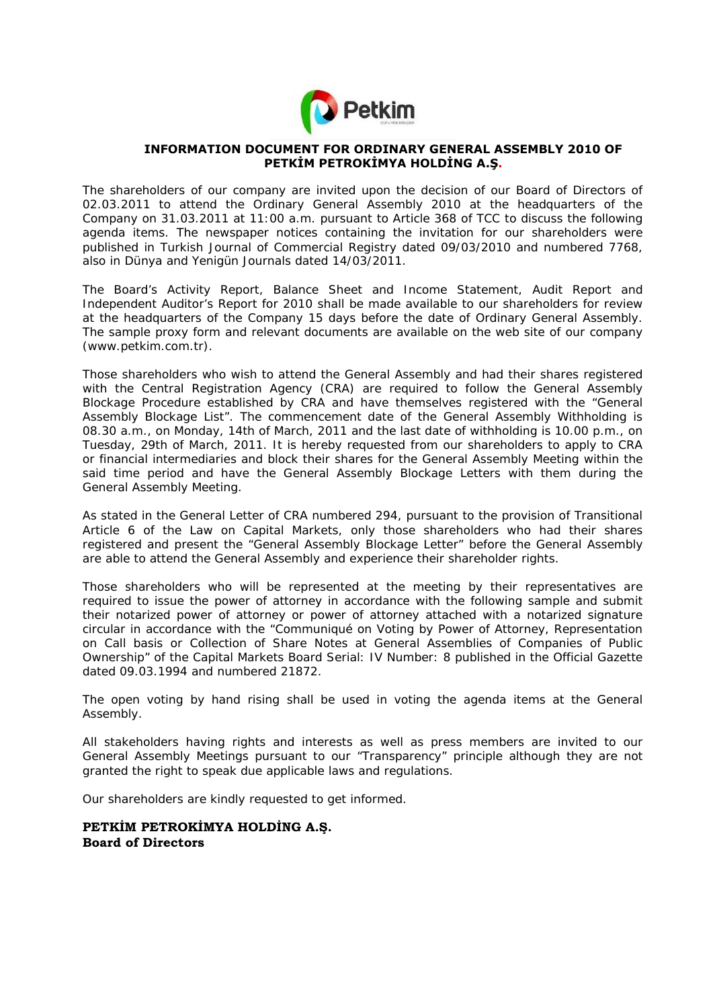

### **INFORMATION DOCUMENT FOR ORDINARY GENERAL ASSEMBLY 2010 OF PETKİM PETROKİMYA HOLDİNG A.Ş.**

The shareholders of our company are invited upon the decision of our Board of Directors of 02.03.2011 to attend the Ordinary General Assembly 2010 at the headquarters of the Company on 31.03.2011 at 11:00 a.m. pursuant to Article 368 of TCC to discuss the following agenda items. The newspaper notices containing the invitation for our shareholders were published in Turkish Journal of Commercial Registry dated 09/03/2010 and numbered 7768, also in Dünya and Yenigün Journals dated 14/03/2011.

The Board's Activity Report, Balance Sheet and Income Statement, Audit Report and Independent Auditor's Report for 2010 shall be made available to our shareholders for review at the headquarters of the Company 15 days before the date of Ordinary General Assembly. The sample proxy form and relevant documents are available on the web site of our company (www.petkim.com.tr).

Those shareholders who wish to attend the General Assembly and had their shares registered with the Central Registration Agency (CRA) are required to follow the General Assembly Blockage Procedure established by CRA and have themselves registered with the "General Assembly Blockage List". The commencement date of the General Assembly Withholding is 08.30 a.m., on Monday, 14th of March, 2011 and the last date of withholding is 10.00 p.m., on Tuesday, 29th of March, 2011. It is hereby requested from our shareholders to apply to CRA or financial intermediaries and block their shares for the General Assembly Meeting within the said time period and have the General Assembly Blockage Letters with them during the General Assembly Meeting.

As stated in the General Letter of CRA numbered 294, pursuant to the provision of Transitional Article 6 of the Law on Capital Markets, only those shareholders who had their shares registered and present the "General Assembly Blockage Letter" before the General Assembly are able to attend the General Assembly and experience their shareholder rights.

Those shareholders who will be represented at the meeting by their representatives are required to issue the power of attorney in accordance with the following sample and submit their notarized power of attorney or power of attorney attached with a notarized signature circular in accordance with the "Communiqué on Voting by Power of Attorney, Representation on Call basis or Collection of Share Notes at General Assemblies of Companies of Public Ownership" of the Capital Markets Board Serial: IV Number: 8 published in the Official Gazette dated 09.03.1994 and numbered 21872.

The open voting by hand rising shall be used in voting the agenda items at the General Assembly.

All stakeholders having rights and interests as well as press members are invited to our General Assembly Meetings pursuant to our "Transparency" principle although they are not granted the right to speak due applicable laws and regulations.

Our shareholders are kindly requested to get informed.

### **PETKİM PETROKİMYA HOLDİNG A.Ş. Board of Directors**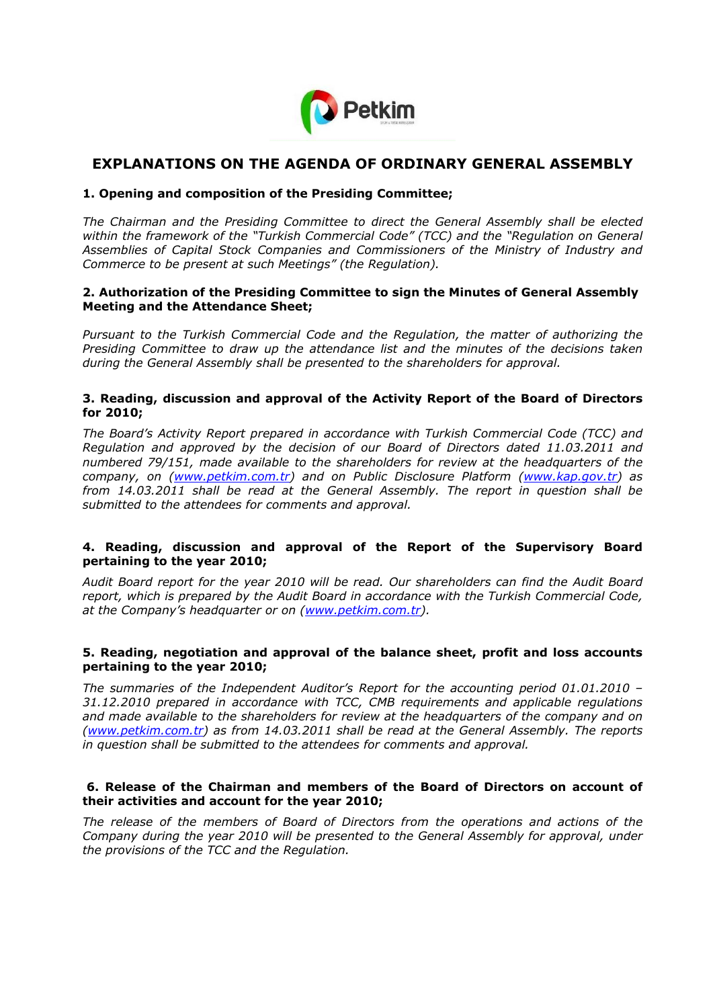

# **EXPLANATIONS ON THE AGENDA OF ORDINARY GENERAL ASSEMBLY**

### **1. Opening and composition of the Presiding Committee;**

*The Chairman and the Presiding Committee to direct the General Assembly shall be elected within the framework of the "Turkish Commercial Code" (TCC) and the "Regulation on General Assemblies of Capital Stock Companies and Commissioners of the Ministry of Industry and Commerce to be present at such Meetings" (the Regulation).* 

### **2. Authorization of the Presiding Committee to sign the Minutes of General Assembly Meeting and the Attendance Sheet;**

*Pursuant to the Turkish Commercial Code and the Regulation, the matter of authorizing the Presiding Committee to draw up the attendance list and the minutes of the decisions taken during the General Assembly shall be presented to the shareholders for approval.* 

### **3. Reading, discussion and approval of the Activity Report of the Board of Directors for 2010;**

*The Board's Activity Report prepared in accordance with Turkish Commercial Code (TCC) and Regulation and approved by the decision of our Board of Directors dated 11.03.2011 and numbered 79/151, made available to the shareholders for review at the headquarters of the company, on (www.petkim.com.tr) and on Public Disclosure Platform (www.kap.gov.tr) as from 14.03.2011 shall be read at the General Assembly. The report in question shall be submitted to the attendees for comments and approval.* 

### **4. Reading, discussion and approval of the Report of the Supervisory Board pertaining to the year 2010;**

*Audit Board report for the year 2010 will be read. Our shareholders can find the Audit Board report, which is prepared by the Audit Board in accordance with the Turkish Commercial Code, at the Company's headquarter or on (www.petkim.com.tr).* 

### **5. Reading, negotiation and approval of the balance sheet, profit and loss accounts pertaining to the year 2010;**

*The summaries of the Independent Auditor's Report for the accounting period 01.01.2010 – 31.12.2010 prepared in accordance with TCC, CMB requirements and applicable regulations and made available to the shareholders for review at the headquarters of the company and on (www.petkim.com.tr) as from 14.03.2011 shall be read at the General Assembly. The reports in question shall be submitted to the attendees for comments and approval.* 

### **6. Release of the Chairman and members of the Board of Directors on account of their activities and account for the year 2010;**

*The release of the members of Board of Directors from the operations and actions of the Company during the year 2010 will be presented to the General Assembly for approval, under the provisions of the TCC and the Regulation.*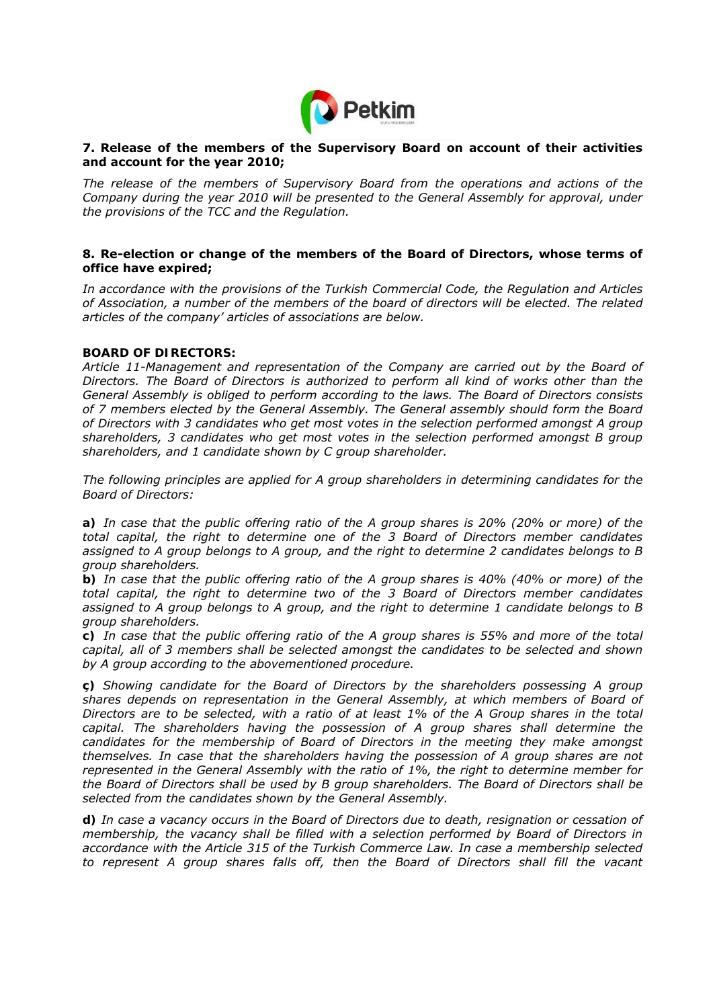

### **7. Release of the members of the Supervisory Board on account of their activities and account for the year 2010;**

*The release of the members of Supervisory Board from the operations and actions of the Company during the year 2010 will be presented to the General Assembly for approval, under the provisions of the TCC and the Regulation.* 

### **8. Re-election or change of the members of the Board of Directors, whose terms of office have expired;**

*In accordance with the provisions of the Turkish Commercial Code, the Regulation and Articles of Association, a number of the members of the board of directors will be elected. The related articles of the company' articles of associations are below.* 

### *BOARD OF DIRECTORS:*

*Article 11-Management and representation of the Company are carried out by the Board of Directors. The Board of Directors is authorized to perform all kind of works other than the General Assembly is obliged to perform according to the laws. The Board of Directors consists of 7 members elected by the General Assembly. The General assembly should form the Board of Directors with 3 candidates who get most votes in the selection performed amongst A group shareholders, 3 candidates who get most votes in the selection performed amongst B group shareholders, and 1 candidate shown by C group shareholder.* 

*The following principles are applied for A group shareholders in determining candidates for the Board of Directors:* 

*a) In case that the public offering ratio of the A group shares is 20% (20% or more) of the total capital, the right to determine one of the 3 Board of Directors member candidates assigned to A group belongs to A group, and the right to determine 2 candidates belongs to B group shareholders.* 

*b) In case that the public offering ratio of the A group shares is 40% (40% or more) of the total capital, the right to determine two of the 3 Board of Directors member candidates assigned to A group belongs to A group, and the right to determine 1 candidate belongs to B group shareholders.* 

*c) In case that the public offering ratio of the A group shares is 55% and more of the total capital, all of 3 members shall be selected amongst the candidates to be selected and shown by A group according to the abovementioned procedure.* 

*ç) Showing candidate for the Board of Directors by the shareholders possessing A group shares depends on representation in the General Assembly, at which members of Board of Directors are to be selected, with a ratio of at least 1% of the A Group shares in the total capital. The shareholders having the possession of A group shares shall determine the candidates for the membership of Board of Directors in the meeting they make amongst themselves. In case that the shareholders having the possession of A group shares are not represented in the General Assembly with the ratio of 1%, the right to determine member for the Board of Directors shall be used by B group shareholders. The Board of Directors shall be selected from the candidates shown by the General Assembly.* 

*d) In case a vacancy occurs in the Board of Directors due to death, resignation or cessation of membership, the vacancy shall be filled with a selection performed by Board of Directors in accordance with the Article 315 of the Turkish Commerce Law. In case a membership selected to represent A group shares falls off, then the Board of Directors shall fill the vacant*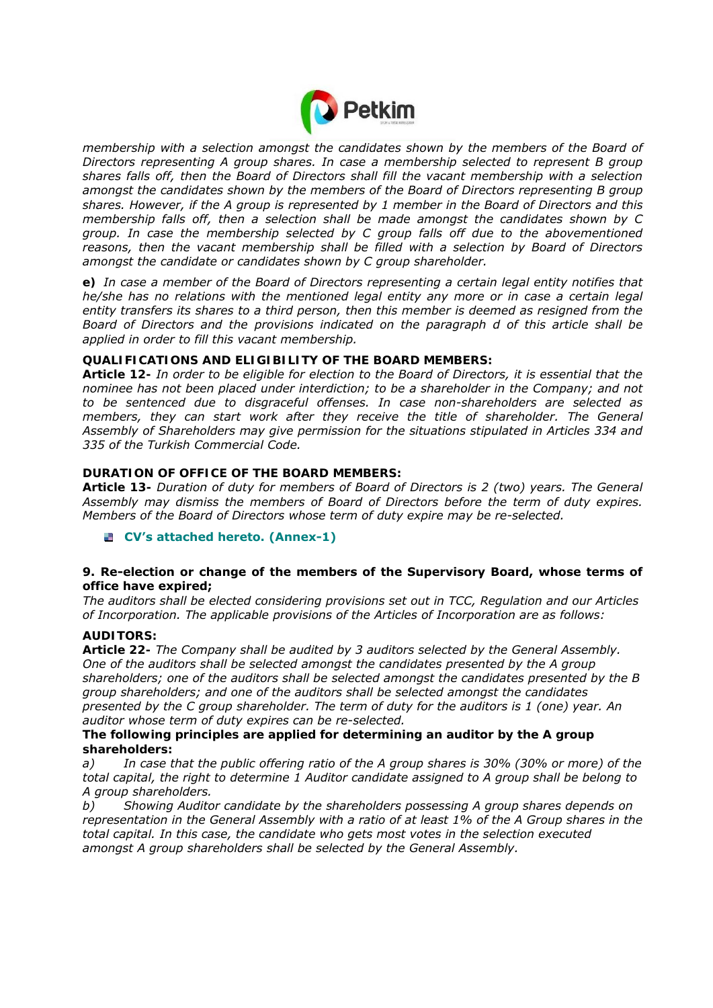

*membership with a selection amongst the candidates shown by the members of the Board of Directors representing A group shares. In case a membership selected to represent B group shares falls off, then the Board of Directors shall fill the vacant membership with a selection amongst the candidates shown by the members of the Board of Directors representing B group shares. However, if the A group is represented by 1 member in the Board of Directors and this membership falls off, then a selection shall be made amongst the candidates shown by C group. In case the membership selected by C group falls off due to the abovementioned reasons, then the vacant membership shall be filled with a selection by Board of Directors amongst the candidate or candidates shown by C group shareholder.* 

*e) In case a member of the Board of Directors representing a certain legal entity notifies that he/she has no relations with the mentioned legal entity any more or in case a certain legal entity transfers its shares to a third person, then this member is deemed as resigned from the Board of Directors and the provisions indicated on the paragraph d of this article shall be applied in order to fill this vacant membership.* 

## *QUALIFICATIONS AND ELIGIBILITY OF THE BOARD MEMBERS:*

*Article 12- In order to be eligible for election to the Board of Directors, it is essential that the nominee has not been placed under interdiction; to be a shareholder in the Company; and not to be sentenced due to disgraceful offenses. In case non-shareholders are selected as*  members, they can start work after they receive the title of shareholder. The General *Assembly of Shareholders may give permission for the situations stipulated in Articles 334 and 335 of the Turkish Commercial Code.* 

### *DURATION OF OFFICE OF THE BOARD MEMBERS:*

*Article 13- Duration of duty for members of Board of Directors is 2 (two) years. The General Assembly may dismiss the members of Board of Directors before the term of duty expires. Members of the Board of Directors whose term of duty expire may be re-selected.* 

**CV's attached hereto. (Annex-1)**

### **9. Re-election or change of the members of the Supervisory Board, whose terms of office have expired;**

*The auditors shall be elected considering provisions set out in TCC, Regulation and our Articles of Incorporation. The applicable provisions of the Articles of Incorporation are as follows:* 

### *AUDITORS:*

*Article 22- The Company shall be audited by 3 auditors selected by the General Assembly. One of the auditors shall be selected amongst the candidates presented by the A group shareholders; one of the auditors shall be selected amongst the candidates presented by the B group shareholders; and one of the auditors shall be selected amongst the candidates presented by the C group shareholder. The term of duty for the auditors is 1 (one) year. An auditor whose term of duty expires can be re-selected.* 

### *The following principles are applied for determining an auditor by the A group shareholders:*

*a) In case that the public offering ratio of the A group shares is 30% (30% or more) of the total capital, the right to determine 1 Auditor candidate assigned to A group shall be belong to A group shareholders.* 

*b) Showing Auditor candidate by the shareholders possessing A group shares depends on representation in the General Assembly with a ratio of at least 1% of the A Group shares in the total capital. In this case, the candidate who gets most votes in the selection executed amongst A group shareholders shall be selected by the General Assembly.*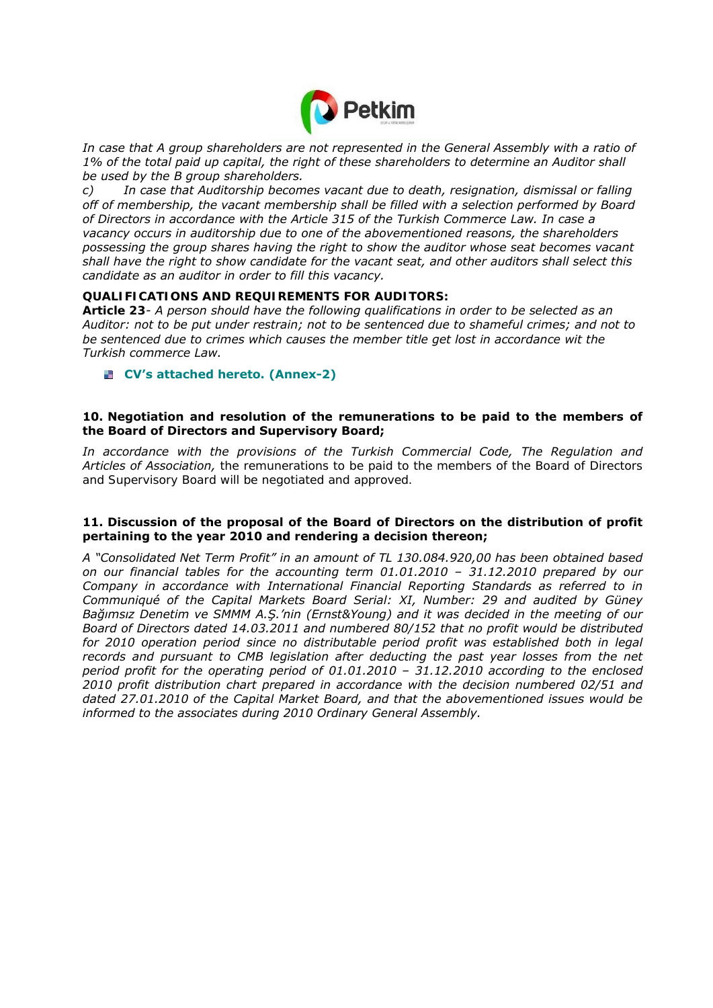

In case that A group shareholders are not represented in the General Assembly with a ratio of *1% of the total paid up capital, the right of these shareholders to determine an Auditor shall be used by the B group shareholders.* 

*c) In case that Auditorship becomes vacant due to death, resignation, dismissal or falling off of membership, the vacant membership shall be filled with a selection performed by Board of Directors in accordance with the Article 315 of the Turkish Commerce Law. In case a vacancy occurs in auditorship due to one of the abovementioned reasons, the shareholders possessing the group shares having the right to show the auditor whose seat becomes vacant shall have the right to show candidate for the vacant seat, and other auditors shall select this candidate as an auditor in order to fill this vacancy.* 

### *QUALIFICATIONS AND REQUIREMENTS FOR AUDITORS:*

*Article 23- A person should have the following qualifications in order to be selected as an Auditor: not to be put under restrain; not to be sentenced due to shameful crimes; and not to be sentenced due to crimes which causes the member title get lost in accordance wit the Turkish commerce Law.* 

**CV's attached hereto. (Annex-2)**

### **10.Negotiation and resolution of the remunerations to be paid to the members of the Board of Directors and Supervisory Board;**

*In accordance with the provisions of the Turkish Commercial Code, The Regulation and Articles of Association,* the remunerations to be paid to the members of the Board of Directors and Supervisory Board will be negotiated and approved.

### **11.Discussion of the proposal of the Board of Directors on the distribution of profit pertaining to the year 2010 and rendering a decision thereon;**

*A "Consolidated Net Term Profit" in an amount of TL 130.084.920,00 has been obtained based on our financial tables for the accounting term 01.01.2010 – 31.12.2010 prepared by our Company in accordance with International Financial Reporting Standards as referred to in Communiqué of the Capital Markets Board Serial: XI, Number: 29 and audited by Güney Bağımsız Denetim ve SMMM A.Ş.'nin (Ernst&Young) and it was decided in the meeting of our Board of Directors dated 14.03.2011 and numbered 80/152 that no profit would be distributed for 2010 operation period since no distributable period profit was established both in legal*  records and pursuant to CMB legislation after deducting the past year losses from the net *period profit for the operating period of 01.01.2010 – 31.12.2010 according to the enclosed 2010 profit distribution chart prepared in accordance with the decision numbered 02/51 and dated 27.01.2010 of the Capital Market Board, and that the abovementioned issues would be informed to the associates during 2010 Ordinary General Assembly.*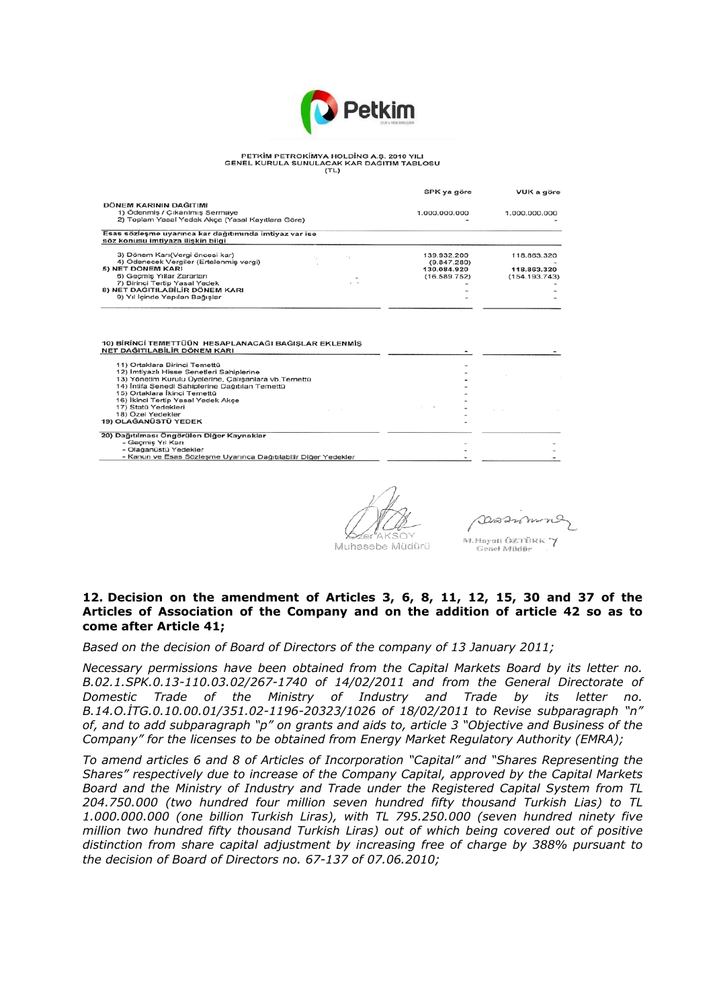

#### PETKİM PETROKİMYA HOLDİNG A.Ş. 2010 YILI<br>GENEL KURULA SUNULACAK KAR DAĞITIM TABLOSU  $\frac{1}{(T+1)}$

|                                                                                                                                                                                                                                                              | SPK ya göre                                               | VUK a göre                                  |
|--------------------------------------------------------------------------------------------------------------------------------------------------------------------------------------------------------------------------------------------------------------|-----------------------------------------------------------|---------------------------------------------|
| DÖNEM KARININ DAĞITIMI<br>1) Ödenmiş / Çıkarılmış Sermaye<br>2) Toplam Yasal Yedek Akce (Yasal Kayıtlara Göre)                                                                                                                                               | 1.000.000.000                                             | 1.000.000.000                               |
| Esas sözleşme uyarınca kar dağıtımında imtiyaz var ise<br>söz konusu imtiyaza iliskin bilgi                                                                                                                                                                  |                                                           |                                             |
| 3) Dönem Karı(Vergi öncesi kar)<br>4) Ödenecek Vergiler (Ertelenmis vergi)<br>5) NET DÖNEM KARI<br>6) Geçmiş Yıllar Zararları<br>7) Birinci Tertip Yasal Yedek<br>8) NET DAĞITILABİLİR DÖNEM KARI<br>9) Yıl İçinde Yapılan Bağıslar                          | 139.932.200<br>(9.847.280)<br>130.084.920<br>(16.589.752) | 118.863.320<br>118.863.320<br>(154.193.743) |
| 10) BİRİNCİ TEMETTÜÜN HESAPLANACAĞI BAĞIŞLAR EKLENMİŞ<br>NET DAĞITILABİLİR DÖNEM KARI                                                                                                                                                                        |                                                           |                                             |
| 11) Ortaklara Birinci Temettü<br>12) İmtiyazlı Hisse Senetleri Sahiplerine<br>13) Yönetim Kurulu Üyelerine, Çalışanlara vb. Temettü<br>14) Intifa Senedi Sahiplerine Dağıtılan Temettü<br>15) Ortaklara İkinci Temettü<br>16) İkinci Tertip Yasal Yedek Akce |                                                           |                                             |
| 17) Statü Yedekleri<br>18) Özel Yedekler<br>19) OLAĞANÜSTÜ YEDEK                                                                                                                                                                                             |                                                           |                                             |
| 20) Dağıtılması Öngörülen Diğer Kaynaklar<br>- Geçmiş Yıl Karı<br>- Olağanüstü Yedekler<br>- Kanun ve Esas Sözleşme Uyarınca Dağıtılabilir Diğer Yedekler                                                                                                    |                                                           |                                             |

Muhasebe Müdürü

Darann nQ M.Hayati ÖZTÜRK Y Genel Mildfir

#### **12.Decision on the amendment of Articles 3, 6, 8, 11, 12, 15, 30 and 37 of the Articles of Association of the Company and on the addition of article 42 so as to come after Article 41;**

*Based on the decision of Board of Directors of the company of 13 January 2011;* 

*Necessary permissions have been obtained from the Capital Markets Board by its letter no. B.02.1.SPK.0.13-110.03.02/267-1740 of 14/02/2011 and from the General Directorate of Domestic Trade of the Ministry of Industry and Trade by its letter no. B.14.O.İTG.0.10.00.01/351.02-1196-20323/1026 of 18/02/2011 to Revise subparagraph "n" of, and to add subparagraph "p" on grants and aids to, article 3 "Objective and Business of the Company" for the licenses to be obtained from Energy Market Regulatory Authority (EMRA);* 

*To amend articles 6 and 8 of Articles of Incorporation "Capital" and "Shares Representing the Shares" respectively due to increase of the Company Capital, approved by the Capital Markets Board and the Ministry of Industry and Trade under the Registered Capital System from TL 204.750.000 (two hundred four million seven hundred fifty thousand Turkish Lias) to TL 1.000.000.000 (one billion Turkish Liras), with TL 795.250.000 (seven hundred ninety five million two hundred fifty thousand Turkish Liras) out of which being covered out of positive distinction from share capital adjustment by increasing free of charge by 388% pursuant to the decision of Board of Directors no. 67-137 of 07.06.2010;*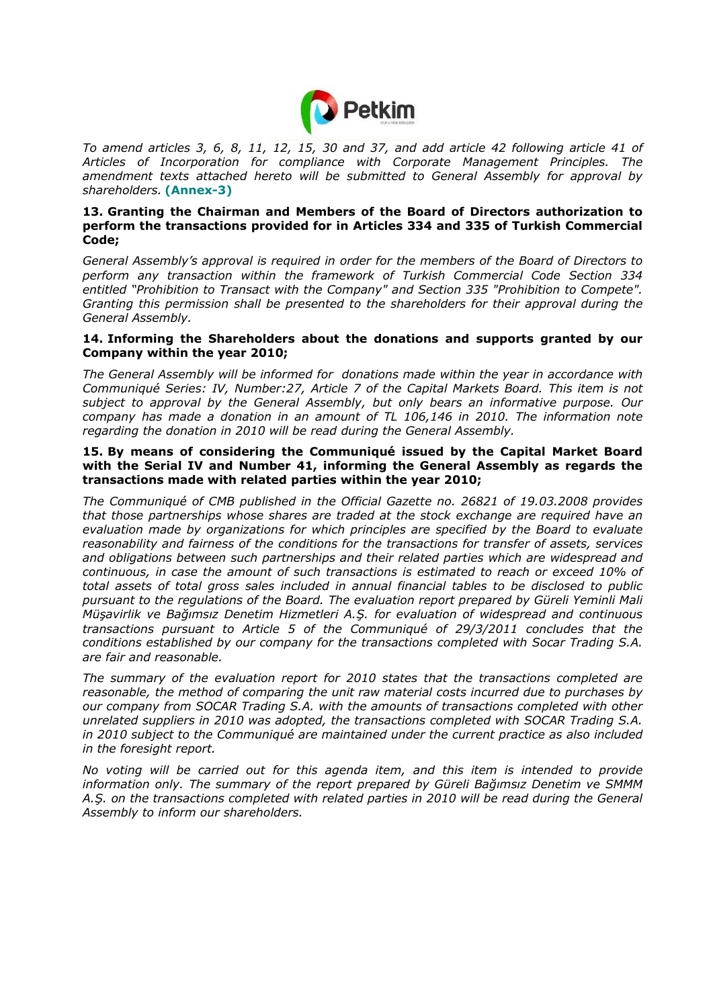

*To amend articles 3, 6, 8, 11, 12, 15, 30 and 37, and add article 42 following article 41 of Articles of Incorporation for compliance with Corporate Management Principles. The amendment texts attached hereto will be submitted to General Assembly for approval by shareholders.* **(Annex-3)**

### **13.Granting the Chairman and Members of the Board of Directors authorization to perform the transactions provided for in Articles 334 and 335 of Turkish Commercial Code;**

*General Assembly's approval is required in order for the members of the Board of Directors to perform any transaction within the framework of Turkish Commercial Code Section 334 entitled "Prohibition to Transact with the Company" and Section 335 "Prohibition to Compete". Granting this permission shall be presented to the shareholders for their approval during the General Assembly.* 

### **14.Informing the Shareholders about the donations and supports granted by our Company within the year 2010;**

*The General Assembly will be informed for donations made within the year in accordance with Communiqué Series: IV, Number:27, Article 7 of the Capital Markets Board. This item is not subject to approval by the General Assembly, but only bears an informative purpose. Our company has made a donation in an amount of TL 106,146 in 2010. The information note regarding the donation in 2010 will be read during the General Assembly.* 

### **15.By means of considering the Communiqué issued by the Capital Market Board with the Serial IV and Number 41, informing the General Assembly as regards the transactions made with related parties within the year 2010;**

*The Communiqué of CMB published in the Official Gazette no. 26821 of 19.03.2008 provides that those partnerships whose shares are traded at the stock exchange are required have an evaluation made by organizations for which principles are specified by the Board to evaluate reasonability and fairness of the conditions for the transactions for transfer of assets, services and obligations between such partnerships and their related parties which are widespread and continuous, in case the amount of such transactions is estimated to reach or exceed 10% of total assets of total gross sales included in annual financial tables to be disclosed to public pursuant to the regulations of the Board. The evaluation report prepared by Güreli Yeminli Mali Müşavirlik ve Bağımsız Denetim Hizmetleri A.Ş. for evaluation of widespread and continuous transactions pursuant to Article 5 of the Communiqué of 29/3/2011 concludes that the conditions established by our company for the transactions completed with Socar Trading S.A. are fair and reasonable.* 

*The summary of the evaluation report for 2010 states that the transactions completed are reasonable, the method of comparing the unit raw material costs incurred due to purchases by our company from SOCAR Trading S.A. with the amounts of transactions completed with other unrelated suppliers in 2010 was adopted, the transactions completed with SOCAR Trading S.A. in 2010 subject to the Communiqué are maintained under the current practice as also included in the foresight report.* 

*No voting will be carried out for this agenda item, and this item is intended to provide information only. The summary of the report prepared by Güreli Bağımsız Denetim ve SMMM A.Ş. on the transactions completed with related parties in 2010 will be read during the General Assembly to inform our shareholders.*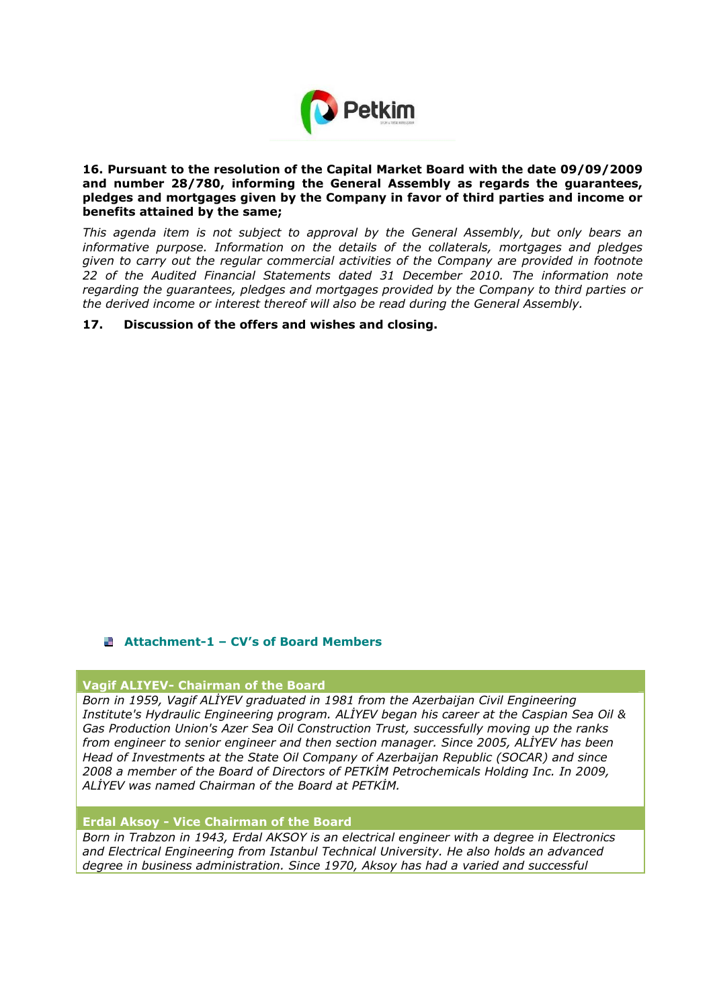

### **16.Pursuant to the resolution of the Capital Market Board with the date 09/09/2009 and number 28/780, informing the General Assembly as regards the guarantees, pledges and mortgages given by the Company in favor of third parties and income or benefits attained by the same;**

*This agenda item is not subject to approval by the General Assembly, but only bears an informative purpose. Information on the details of the collaterals, mortgages and pledges given to carry out the regular commercial activities of the Company are provided in footnote 22 of the Audited Financial Statements dated 31 December 2010. The information note regarding the guarantees, pledges and mortgages provided by the Company to third parties or the derived income or interest thereof will also be read during the General Assembly.* 

### **17. Discussion of the offers and wishes and closing.**

### **Attachment-1 – CV's of Board Members**

### **Vagif ALIYEV- Chairman of the Board**

*Born in 1959, Vagif ALİYEV graduated in 1981 from the Azerbaijan Civil Engineering Institute's Hydraulic Engineering program. ALİYEV began his career at the Caspian Sea Oil & Gas Production Union's Azer Sea Oil Construction Trust, successfully moving up the ranks from engineer to senior engineer and then section manager. Since 2005, ALİYEV has been Head of Investments at the State Oil Company of Azerbaijan Republic (SOCAR) and since 2008 a member of the Board of Directors of PETKİM Petrochemicals Holding Inc. In 2009, ALİYEV was named Chairman of the Board at PETKİM.* 

#### **Erdal Aksoy - Vice Chairman of the Board**

*Born in Trabzon in 1943, Erdal AKSOY is an electrical engineer with a degree in Electronics and Electrical Engineering from Istanbul Technical University. He also holds an advanced degree in business administration. Since 1970, Aksoy has had a varied and successful*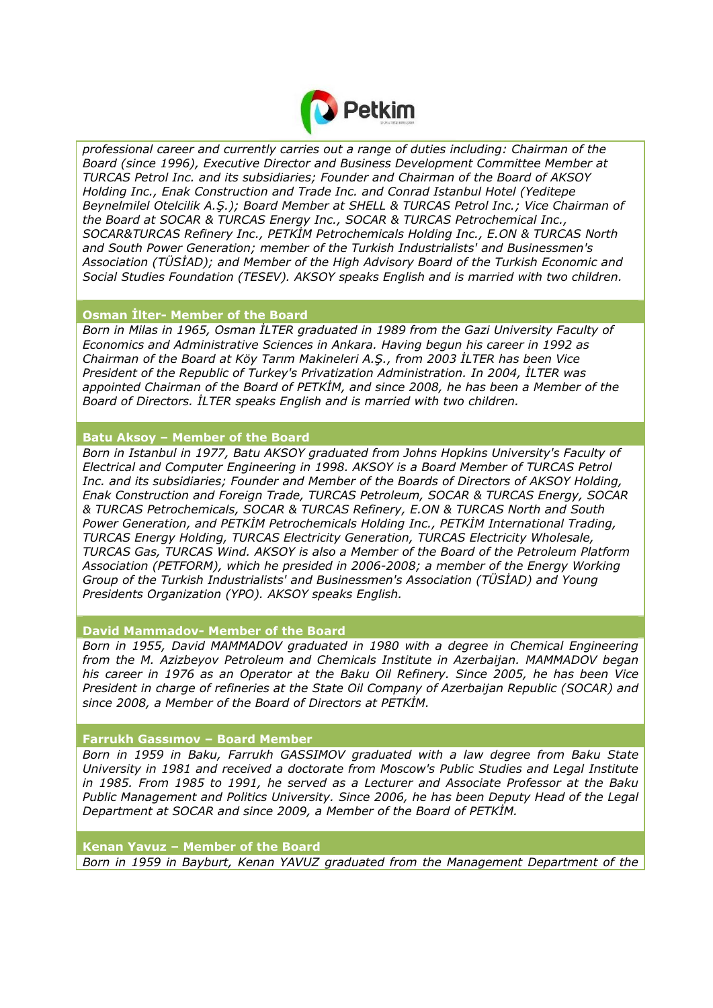

*professional career and currently carries out a range of duties including: Chairman of the Board (since 1996), Executive Director and Business Development Committee Member at TURCAS Petrol Inc. and its subsidiaries; Founder and Chairman of the Board of AKSOY Holding Inc., Enak Construction and Trade Inc. and Conrad Istanbul Hotel (Yeditepe Beynelmilel Otelcilik A.Ş.); Board Member at SHELL & TURCAS Petrol Inc.; Vice Chairman of the Board at SOCAR & TURCAS Energy Inc., SOCAR & TURCAS Petrochemical Inc., SOCAR&TURCAS Refinery Inc., PETKİM Petrochemicals Holding Inc., E.ON & TURCAS North and South Power Generation; member of the Turkish Industrialists' and Businessmen's Association (TÜSİAD); and Member of the High Advisory Board of the Turkish Economic and Social Studies Foundation (TESEV). AKSOY speaks English and is married with two children.* 

### **Osman İlter- Member of the Board**

*Born in Milas in 1965, Osman İLTER graduated in 1989 from the Gazi University Faculty of Economics and Administrative Sciences in Ankara. Having begun his career in 1992 as Chairman of the Board at Köy Tarım Makineleri A.Ş., from 2003 İLTER has been Vice President of the Republic of Turkey's Privatization Administration. In 2004, İLTER was appointed Chairman of the Board of PETKİM, and since 2008, he has been a Member of the Board of Directors. İLTER speaks English and is married with two children.* 

# **Batu Aksoy – Member of the Board**

*Born in Istanbul in 1977, Batu AKSOY graduated from Johns Hopkins University's Faculty of Electrical and Computer Engineering in 1998. AKSOY is a Board Member of TURCAS Petrol Inc. and its subsidiaries; Founder and Member of the Boards of Directors of AKSOY Holding, Enak Construction and Foreign Trade, TURCAS Petroleum, SOCAR & TURCAS Energy, SOCAR & TURCAS Petrochemicals, SOCAR & TURCAS Refinery, E.ON & TURCAS North and South Power Generation, and PETKİM Petrochemicals Holding Inc., PETKİM International Trading, TURCAS Energy Holding, TURCAS Electricity Generation, TURCAS Electricity Wholesale, TURCAS Gas, TURCAS Wind. AKSOY is also a Member of the Board of the Petroleum Platform Association (PETFORM), which he presided in 2006-2008; a member of the Energy Working Group of the Turkish Industrialists' and Businessmen's Association (TÜSİAD) and Young Presidents Organization (YPO). AKSOY speaks English.* 

**David Mammadov- Member of the Board** 

*Born in 1955, David MAMMADOV graduated in 1980 with a degree in Chemical Engineering from the M. Azizbeyov Petroleum and Chemicals Institute in Azerbaijan. MAMMADOV began his career in 1976 as an Operator at the Baku Oil Refinery. Since 2005, he has been Vice President in charge of refineries at the State Oil Company of Azerbaijan Republic (SOCAR) and since 2008, a Member of the Board of Directors at PETKİM.* 

### **Farrukh Gassımov – Board Member**

*Born in 1959 in Baku, Farrukh GASSIMOV graduated with a law degree from Baku State University in 1981 and received a doctorate from Moscow's Public Studies and Legal Institute in 1985. From 1985 to 1991, he served as a Lecturer and Associate Professor at the Baku Public Management and Politics University. Since 2006, he has been Deputy Head of the Legal Department at SOCAR and since 2009, a Member of the Board of PETKİM.* 

**Kenan Yavuz – Member of the Board**  *Born in 1959 in Bayburt, Kenan YAVUZ graduated from the Management Department of the*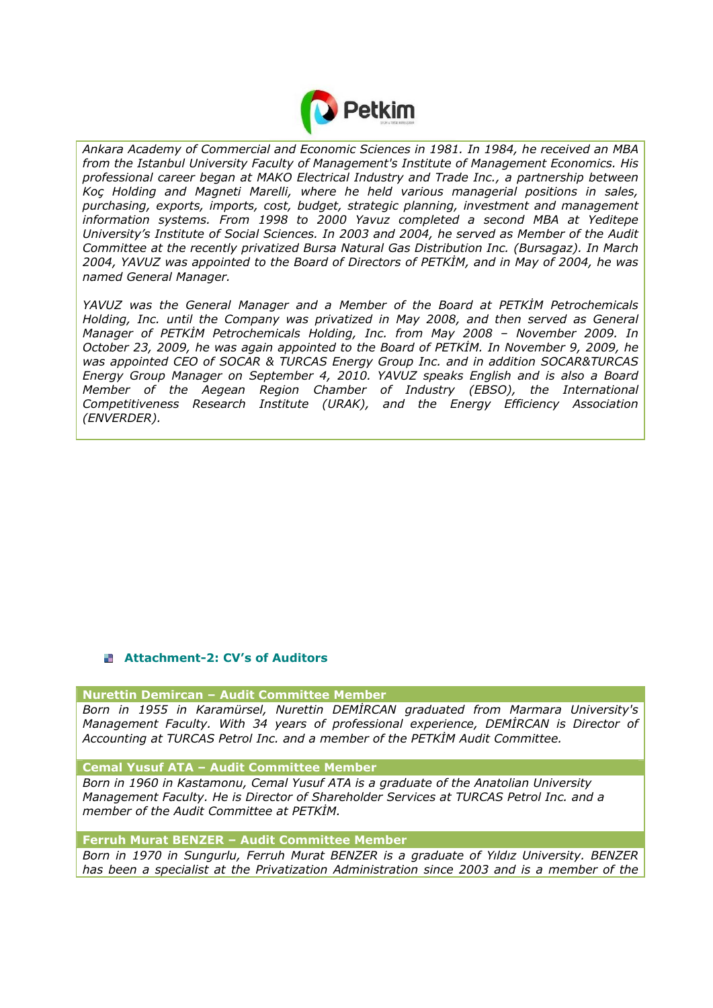

*Ankara Academy of Commercial and Economic Sciences in 1981. In 1984, he received an MBA from the Istanbul University Faculty of Management's Institute of Management Economics. His professional career began at MAKO Electrical Industry and Trade Inc., a partnership between Koç Holding and Magneti Marelli, where he held various managerial positions in sales, purchasing, exports, imports, cost, budget, strategic planning, investment and management information systems. From 1998 to 2000 Yavuz completed a second MBA at Yeditepe University's Institute of Social Sciences. In 2003 and 2004, he served as Member of the Audit Committee at the recently privatized Bursa Natural Gas Distribution Inc. (Bursagaz). In March 2004, YAVUZ was appointed to the Board of Directors of PETKİM, and in May of 2004, he was named General Manager.* 

*YAVUZ was the General Manager and a Member of the Board at PETKİM Petrochemicals Holding, Inc. until the Company was privatized in May 2008, and then served as General Manager of PETKİM Petrochemicals Holding, Inc. from May 2008 – November 2009. In October 23, 2009, he was again appointed to the Board of PETKİM. In November 9, 2009, he was appointed CEO of SOCAR & TURCAS Energy Group Inc. and in addition SOCAR&TURCAS Energy Group Manager on September 4, 2010. YAVUZ speaks English and is also a Board Member of the Aegean Region Chamber of Industry (EBSO), the International Competitiveness Research Institute (URAK), and the Energy Efficiency Association (ENVERDER).* 

# **Attachment-2: CV's of Auditors**

**Nurettin Demircan – Audit Committee Member** 

*Born in 1955 in Karamürsel, Nurettin DEMİRCAN graduated from Marmara University's Management Faculty. With 34 years of professional experience, DEMİRCAN is Director of Accounting at TURCAS Petrol Inc. and a member of the PETKİM Audit Committee.* 

**Cemal Yusuf ATA – Audit Committee Member**

*Born in 1960 in Kastamonu, Cemal Yusuf ATA is a graduate of the Anatolian University Management Faculty. He is Director of Shareholder Services at TURCAS Petrol Inc. and a member of the Audit Committee at PETKİM.* 

**Ferruh Murat BENZER – Audit Committee Member**

*Born in 1970 in Sungurlu, Ferruh Murat BENZER is a graduate of Yıldız University. BENZER has been a specialist at the Privatization Administration since 2003 and is a member of the*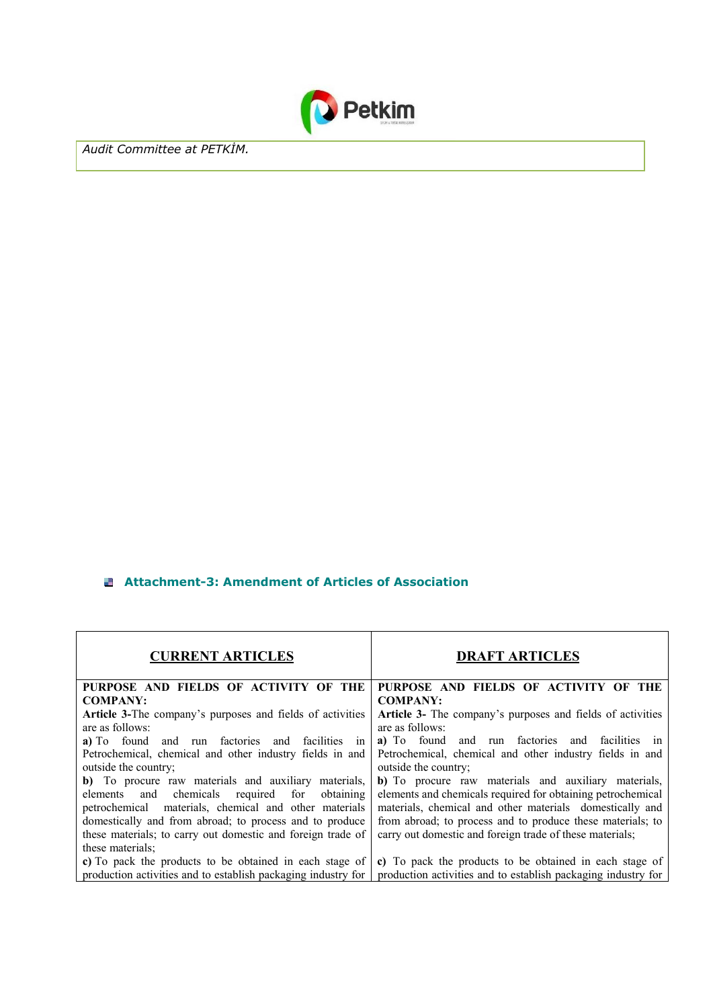

*Audit Committee at PETKİM.* 

### **Attachment-3: Amendment of Articles of Association**

| <b>CURRENT ARTICLES</b>                                                                                                                                                                                                   | <b>DRAFT ARTICLES</b>                                                                                                                                                                                                                         |
|---------------------------------------------------------------------------------------------------------------------------------------------------------------------------------------------------------------------------|-----------------------------------------------------------------------------------------------------------------------------------------------------------------------------------------------------------------------------------------------|
| PURPOSE AND FIELDS OF ACTIVITY OF THE                                                                                                                                                                                     | PURPOSE AND FIELDS OF ACTIVITY OF THE                                                                                                                                                                                                         |
| <b>COMPANY:</b>                                                                                                                                                                                                           | <b>COMPANY:</b>                                                                                                                                                                                                                               |
| <b>Article 3-The company's purposes and fields of activities</b><br>are as follows:                                                                                                                                       | Article 3- The company's purposes and fields of activities<br>are as follows:                                                                                                                                                                 |
| a) To found and run factories and facilities in                                                                                                                                                                           | a) To found and run factories and facilities in                                                                                                                                                                                               |
| Petrochemical, chemical and other industry fields in and<br>outside the country;                                                                                                                                          | Petrochemical, chemical and other industry fields in and<br>outside the country;                                                                                                                                                              |
| b) To procure raw materials and auxiliary materials,<br>elements and chemicals required for obtaining<br>petrochemical materials, chemical and other materials<br>domestically and from abroad; to process and to produce | b) To procure raw materials and auxiliary materials,<br>elements and chemicals required for obtaining petrochemical<br>materials, chemical and other materials domestically and<br>from abroad; to process and to produce these materials; to |
| these materials; to carry out domestic and foreign trade of<br>these materials:                                                                                                                                           | carry out domestic and foreign trade of these materials;                                                                                                                                                                                      |
| c) To pack the products to be obtained in each stage of                                                                                                                                                                   | c) To pack the products to be obtained in each stage of                                                                                                                                                                                       |
| production activities and to establish packaging industry for                                                                                                                                                             | production activities and to establish packaging industry for                                                                                                                                                                                 |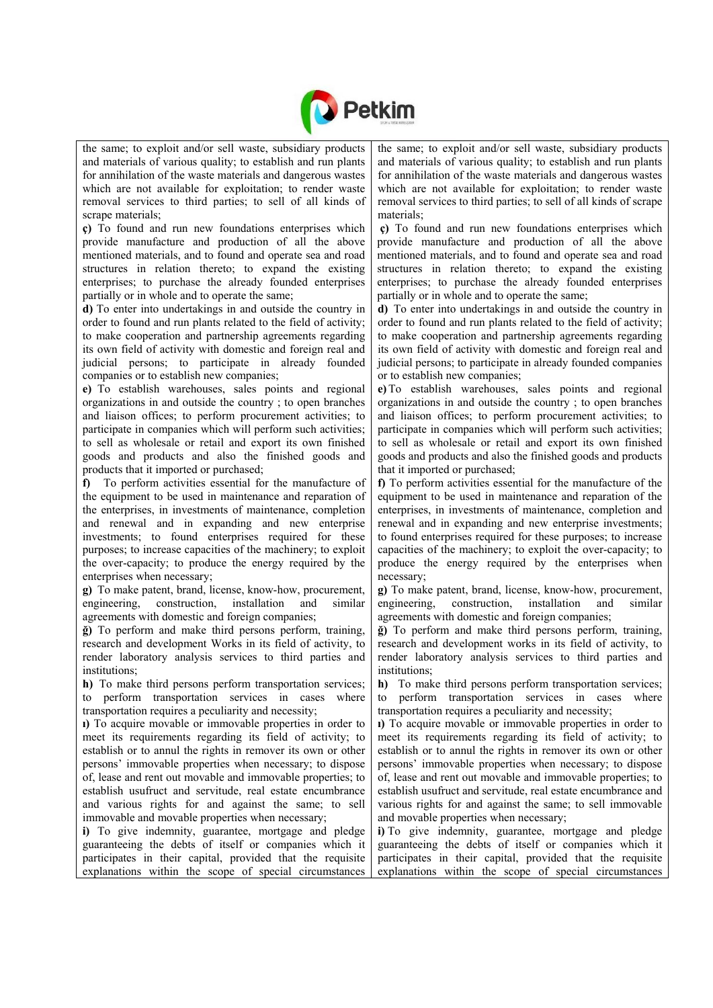

the same; to exploit and/or sell waste, subsidiary products and materials of various quality; to establish and run plants for annihilation of the waste materials and dangerous wastes which are not available for exploitation; to render waste removal services to third parties; to sell of all kinds of scrape materials;

**ç)** To found and run new foundations enterprises which provide manufacture and production of all the above mentioned materials, and to found and operate sea and road structures in relation thereto; to expand the existing enterprises; to purchase the already founded enterprises partially or in whole and to operate the same;

**d)** To enter into undertakings in and outside the country in order to found and run plants related to the field of activity; to make cooperation and partnership agreements regarding its own field of activity with domestic and foreign real and judicial persons; to participate in already founded companies or to establish new companies;

**e)** To establish warehouses, sales points and regional organizations in and outside the country ; to open branches and liaison offices; to perform procurement activities; to participate in companies which will perform such activities; to sell as wholesale or retail and export its own finished goods and products and also the finished goods and products that it imported or purchased;

**f)** To perform activities essential for the manufacture of the equipment to be used in maintenance and reparation of the enterprises, in investments of maintenance, completion and renewal and in expanding and new enterprise investments; to found enterprises required for these purposes; to increase capacities of the machinery; to exploit the over-capacity; to produce the energy required by the enterprises when necessary;

**g)** To make patent, brand, license, know-how, procurement, engineering, construction, installation and similar agreements with domestic and foreign companies;

**ğ)** To perform and make third persons perform, training, research and development Works in its field of activity, to render laboratory analysis services to third parties and institutions;

**h)** To make third persons perform transportation services; to perform transportation services in cases where transportation requires a peculiarity and necessity;

**ı)** To acquire movable or immovable properties in order to meet its requirements regarding its field of activity; to establish or to annul the rights in remover its own or other persons' immovable properties when necessary; to dispose of, lease and rent out movable and immovable properties; to establish usufruct and servitude, real estate encumbrance and various rights for and against the same; to sell immovable and movable properties when necessary;

**i)** To give indemnity, guarantee, mortgage and pledge guaranteeing the debts of itself or companies which it participates in their capital, provided that the requisite explanations within the scope of special circumstances the same; to exploit and/or sell waste, subsidiary products and materials of various quality; to establish and run plants for annihilation of the waste materials and dangerous wastes which are not available for exploitation; to render waste removal services to third parties; to sell of all kinds of scrape materials;

**ç)** To found and run new foundations enterprises which provide manufacture and production of all the above mentioned materials, and to found and operate sea and road structures in relation thereto; to expand the existing enterprises; to purchase the already founded enterprises partially or in whole and to operate the same;

**d)** To enter into undertakings in and outside the country in order to found and run plants related to the field of activity; to make cooperation and partnership agreements regarding its own field of activity with domestic and foreign real and judicial persons; to participate in already founded companies or to establish new companies;

**e)**To establish warehouses, sales points and regional organizations in and outside the country ; to open branches and liaison offices; to perform procurement activities; to participate in companies which will perform such activities; to sell as wholesale or retail and export its own finished goods and products and also the finished goods and products that it imported or purchased;

**f)** To perform activities essential for the manufacture of the equipment to be used in maintenance and reparation of the enterprises, in investments of maintenance, completion and renewal and in expanding and new enterprise investments; to found enterprises required for these purposes; to increase capacities of the machinery; to exploit the over-capacity; to produce the energy required by the enterprises when necessary;

**g)** To make patent, brand, license, know-how, procurement, engineering, construction, installation and similar agreements with domestic and foreign companies;

**ğ)** To perform and make third persons perform, training, research and development works in its field of activity, to render laboratory analysis services to third parties and institutions;

**h)** To make third persons perform transportation services; to perform transportation services in cases where transportation requires a peculiarity and necessity;

**ı)** To acquire movable or immovable properties in order to meet its requirements regarding its field of activity; to establish or to annul the rights in remover its own or other persons' immovable properties when necessary; to dispose of, lease and rent out movable and immovable properties; to establish usufruct and servitude, real estate encumbrance and various rights for and against the same; to sell immovable and movable properties when necessary;

**i)** To give indemnity, guarantee, mortgage and pledge guaranteeing the debts of itself or companies which it participates in their capital, provided that the requisite explanations within the scope of special circumstances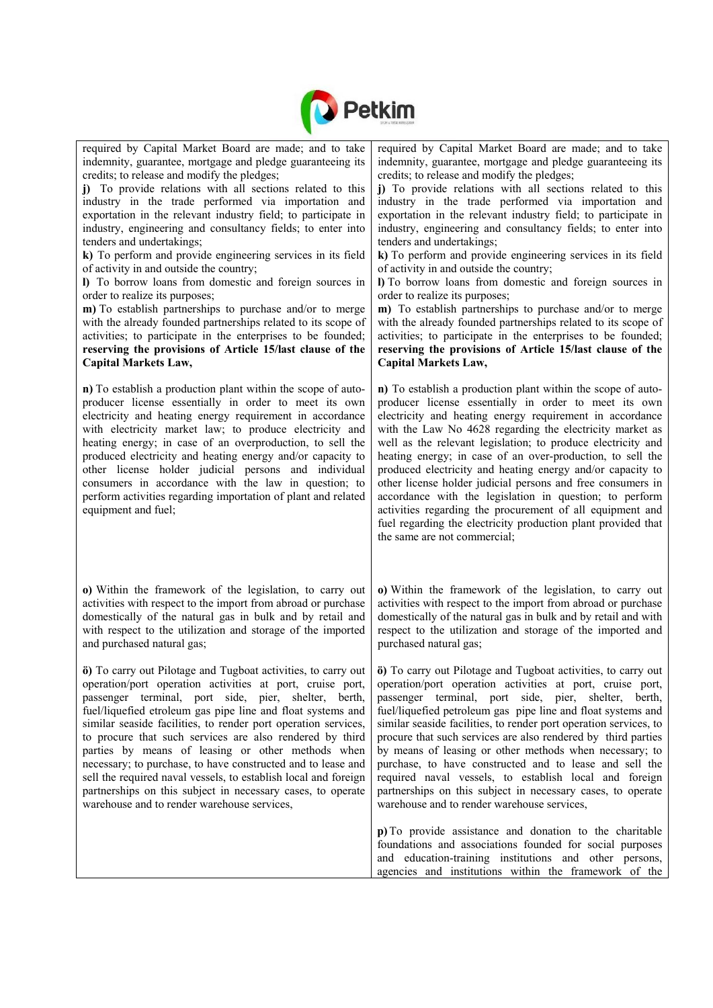

| required by Capital Market Board are made; and to take<br>indemnity, guarantee, mortgage and pledge guaranteeing its<br>credits; to release and modify the pledges;<br>j) To provide relations with all sections related to this<br>industry in the trade performed via importation and<br>exportation in the relevant industry field; to participate in<br>industry, engineering and consultancy fields; to enter into<br>tenders and undertakings;<br>k) To perform and provide engineering services in its field<br>of activity in and outside the country;<br>I) To borrow loans from domestic and foreign sources in<br>order to realize its purposes;<br>m) To establish partnerships to purchase and/or to merge<br>with the already founded partnerships related to its scope of<br>activities; to participate in the enterprises to be founded;<br>reserving the provisions of Article 15/last clause of the<br><b>Capital Markets Law,</b> | required by Capital Market Board are made; and to take<br>indemnity, guarantee, mortgage and pledge guaranteeing its<br>credits; to release and modify the pledges;<br>j) To provide relations with all sections related to this<br>industry in the trade performed via importation and<br>exportation in the relevant industry field; to participate in<br>industry, engineering and consultancy fields; to enter into<br>tenders and undertakings;<br>k) To perform and provide engineering services in its field<br>of activity in and outside the country;<br>I) To borrow loans from domestic and foreign sources in<br>order to realize its purposes;<br>m) To establish partnerships to purchase and/or to merge<br>with the already founded partnerships related to its scope of<br>activities; to participate in the enterprises to be founded;<br>reserving the provisions of Article 15/last clause of the<br><b>Capital Markets Law,</b> |
|------------------------------------------------------------------------------------------------------------------------------------------------------------------------------------------------------------------------------------------------------------------------------------------------------------------------------------------------------------------------------------------------------------------------------------------------------------------------------------------------------------------------------------------------------------------------------------------------------------------------------------------------------------------------------------------------------------------------------------------------------------------------------------------------------------------------------------------------------------------------------------------------------------------------------------------------------|------------------------------------------------------------------------------------------------------------------------------------------------------------------------------------------------------------------------------------------------------------------------------------------------------------------------------------------------------------------------------------------------------------------------------------------------------------------------------------------------------------------------------------------------------------------------------------------------------------------------------------------------------------------------------------------------------------------------------------------------------------------------------------------------------------------------------------------------------------------------------------------------------------------------------------------------------|
| n) To establish a production plant within the scope of auto-<br>producer license essentially in order to meet its own<br>electricity and heating energy requirement in accordance<br>with electricity market law; to produce electricity and<br>heating energy; in case of an overproduction, to sell the<br>produced electricity and heating energy and/or capacity to<br>other license holder judicial persons and individual<br>consumers in accordance with the law in question; to<br>perform activities regarding importation of plant and related<br>equipment and fuel;                                                                                                                                                                                                                                                                                                                                                                      | n) To establish a production plant within the scope of auto-<br>producer license essentially in order to meet its own<br>electricity and heating energy requirement in accordance<br>with the Law No 4628 regarding the electricity market as<br>well as the relevant legislation; to produce electricity and<br>heating energy; in case of an over-production, to sell the<br>produced electricity and heating energy and/or capacity to<br>other license holder judicial persons and free consumers in<br>accordance with the legislation in question; to perform<br>activities regarding the procurement of all equipment and<br>fuel regarding the electricity production plant provided that<br>the same are not commercial;                                                                                                                                                                                                                    |
| o) Within the framework of the legislation, to carry out<br>activities with respect to the import from abroad or purchase<br>domestically of the natural gas in bulk and by retail and<br>with respect to the utilization and storage of the imported<br>and purchased natural gas;                                                                                                                                                                                                                                                                                                                                                                                                                                                                                                                                                                                                                                                                  | o) Within the framework of the legislation, to carry out<br>activities with respect to the import from abroad or purchase<br>domestically of the natural gas in bulk and by retail and with<br>respect to the utilization and storage of the imported and<br>purchased natural gas;                                                                                                                                                                                                                                                                                                                                                                                                                                                                                                                                                                                                                                                                  |
| operation/port operation activities at port, cruise port,<br>passenger terminal, port side, pier, shelter, berth,<br>fuel/liquefied etroleum gas pipe line and float systems and<br>similar seaside facilities, to render port operation services,<br>to procure that such services are also rendered by third<br>parties by means of leasing or other methods when<br>necessary; to purchase, to have constructed and to lease and<br>sell the required naval vessels, to establish local and foreign<br>partnerships on this subject in necessary cases, to operate<br>warehouse and to render warehouse services,                                                                                                                                                                                                                                                                                                                                 | $\ddot{\mathbf{o}}$ ) To carry out Pilotage and Tugboat activities, to carry out $\ddot{\mathbf{o}}$ ) To carry out Pilotage and Tugboat activities, to carry out<br>operation/port operation activities at port, cruise port,<br>passenger terminal, port side, pier, shelter, berth,<br>fuel/liquefied petroleum gas pipe line and float systems and<br>similar seaside facilities, to render port operation services, to<br>procure that such services are also rendered by third parties<br>by means of leasing or other methods when necessary; to<br>purchase, to have constructed and to lease and sell the<br>required naval vessels, to establish local and foreign<br>partnerships on this subject in necessary cases, to operate<br>warehouse and to render warehouse services,                                                                                                                                                           |
|                                                                                                                                                                                                                                                                                                                                                                                                                                                                                                                                                                                                                                                                                                                                                                                                                                                                                                                                                      | p) To provide assistance and donation to the charitable<br>foundations and associations founded for social purposes<br>and education-training institutions and other persons,<br>agencies and institutions within the framework of the                                                                                                                                                                                                                                                                                                                                                                                                                                                                                                                                                                                                                                                                                                               |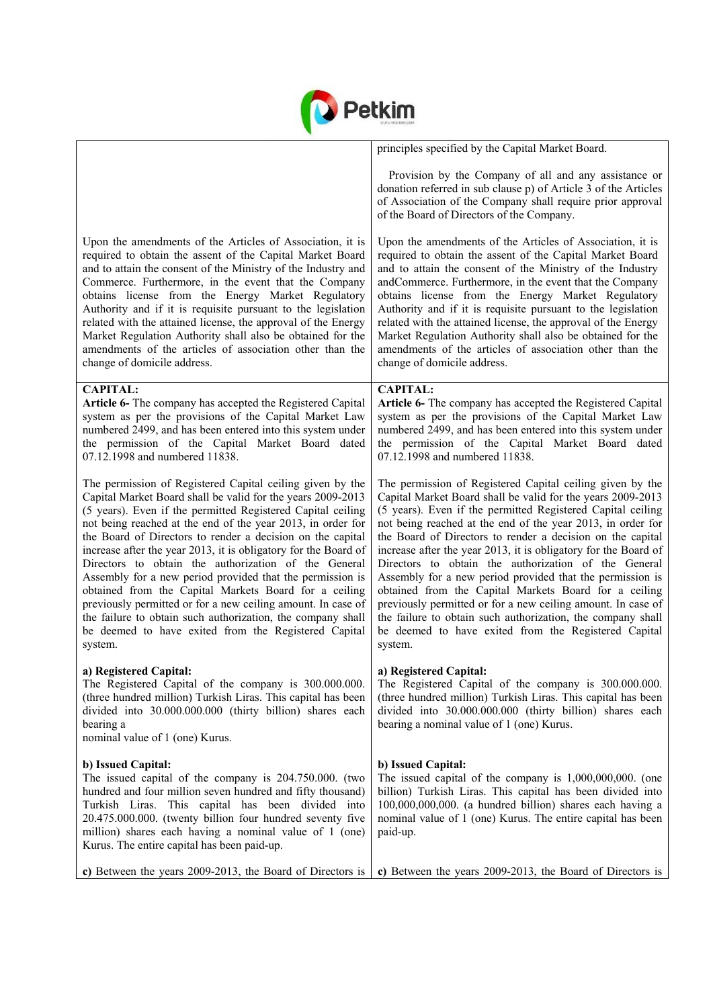

|                                                                                                                                                                                                                                                                                                                                                                                                                                                                                                                                                                                                                                                                                                                                                                         | principles specified by the Capital Market Board.                                                                                                                                                                                                                                                                                                                                                                                                                                                                                                                                                                                                                                                                                                                       |
|-------------------------------------------------------------------------------------------------------------------------------------------------------------------------------------------------------------------------------------------------------------------------------------------------------------------------------------------------------------------------------------------------------------------------------------------------------------------------------------------------------------------------------------------------------------------------------------------------------------------------------------------------------------------------------------------------------------------------------------------------------------------------|-------------------------------------------------------------------------------------------------------------------------------------------------------------------------------------------------------------------------------------------------------------------------------------------------------------------------------------------------------------------------------------------------------------------------------------------------------------------------------------------------------------------------------------------------------------------------------------------------------------------------------------------------------------------------------------------------------------------------------------------------------------------------|
|                                                                                                                                                                                                                                                                                                                                                                                                                                                                                                                                                                                                                                                                                                                                                                         | Provision by the Company of all and any assistance or<br>donation referred in sub clause p) of Article 3 of the Articles<br>of Association of the Company shall require prior approval<br>of the Board of Directors of the Company.                                                                                                                                                                                                                                                                                                                                                                                                                                                                                                                                     |
| Upon the amendments of the Articles of Association, it is<br>required to obtain the assent of the Capital Market Board<br>and to attain the consent of the Ministry of the Industry and<br>Commerce. Furthermore, in the event that the Company<br>obtains license from the Energy Market Regulatory<br>Authority and if it is requisite pursuant to the legislation<br>related with the attained license, the approval of the Energy<br>Market Regulation Authority shall also be obtained for the<br>amendments of the articles of association other than the<br>change of domicile address.                                                                                                                                                                          | Upon the amendments of the Articles of Association, it is<br>required to obtain the assent of the Capital Market Board<br>and to attain the consent of the Ministry of the Industry<br>andCommerce. Furthermore, in the event that the Company<br>obtains license from the Energy Market Regulatory<br>Authority and if it is requisite pursuant to the legislation<br>related with the attained license, the approval of the Energy<br>Market Regulation Authority shall also be obtained for the<br>amendments of the articles of association other than the<br>change of domicile address.                                                                                                                                                                           |
| <b>CAPITAL:</b><br>Article 6- The company has accepted the Registered Capital<br>system as per the provisions of the Capital Market Law<br>numbered 2499, and has been entered into this system under<br>the permission of the Capital Market Board dated<br>07.12.1998 and numbered 11838.                                                                                                                                                                                                                                                                                                                                                                                                                                                                             | <b>CAPITAL:</b><br>Article 6- The company has accepted the Registered Capital<br>system as per the provisions of the Capital Market Law<br>numbered 2499, and has been entered into this system under<br>the permission of the Capital Market Board dated<br>07.12.1998 and numbered 11838.                                                                                                                                                                                                                                                                                                                                                                                                                                                                             |
| The permission of Registered Capital ceiling given by the<br>Capital Market Board shall be valid for the years 2009-2013<br>(5 years). Even if the permitted Registered Capital ceiling<br>not being reached at the end of the year 2013, in order for<br>the Board of Directors to render a decision on the capital<br>increase after the year 2013, it is obligatory for the Board of<br>Directors to obtain the authorization of the General<br>Assembly for a new period provided that the permission is<br>obtained from the Capital Markets Board for a ceiling<br>previously permitted or for a new ceiling amount. In case of<br>the failure to obtain such authorization, the company shall<br>be deemed to have exited from the Registered Capital<br>system. | The permission of Registered Capital ceiling given by the<br>Capital Market Board shall be valid for the years 2009-2013<br>(5 years). Even if the permitted Registered Capital ceiling<br>not being reached at the end of the year 2013, in order for<br>the Board of Directors to render a decision on the capital<br>increase after the year 2013, it is obligatory for the Board of<br>Directors to obtain the authorization of the General<br>Assembly for a new period provided that the permission is<br>obtained from the Capital Markets Board for a ceiling<br>previously permitted or for a new ceiling amount. In case of<br>the failure to obtain such authorization, the company shall<br>be deemed to have exited from the Registered Capital<br>system. |
| a) Registered Capital:<br>The Registered Capital of the company is 300.000.000.<br>(three hundred million) Turkish Liras. This capital has been<br>divided into 30.000.000.000 (thirty billion) shares each<br>bearing a<br>nominal value of 1 (one) Kurus.                                                                                                                                                                                                                                                                                                                                                                                                                                                                                                             | a) Registered Capital:<br>The Registered Capital of the company is 300.000.000.<br>(three hundred million) Turkish Liras. This capital has been<br>divided into 30.000.000.000 (thirty billion) shares each<br>bearing a nominal value of 1 (one) Kurus.                                                                                                                                                                                                                                                                                                                                                                                                                                                                                                                |
| b) Issued Capital:<br>The issued capital of the company is 204.750.000. (two<br>hundred and four million seven hundred and fifty thousand)<br>Turkish Liras. This capital has been divided into<br>20.475.000.000. (twenty billion four hundred seventy five<br>million) shares each having a nominal value of 1 (one)<br>Kurus. The entire capital has been paid-up.                                                                                                                                                                                                                                                                                                                                                                                                   | b) Issued Capital:<br>The issued capital of the company is $1,000,000,000$ . (one<br>billion) Turkish Liras. This capital has been divided into<br>100,000,000,000. (a hundred billion) shares each having a<br>nominal value of 1 (one) Kurus. The entire capital has been<br>paid-up.                                                                                                                                                                                                                                                                                                                                                                                                                                                                                 |
| c) Between the years 2009-2013, the Board of Directors is                                                                                                                                                                                                                                                                                                                                                                                                                                                                                                                                                                                                                                                                                                               | c) Between the years 2009-2013, the Board of Directors is                                                                                                                                                                                                                                                                                                                                                                                                                                                                                                                                                                                                                                                                                                               |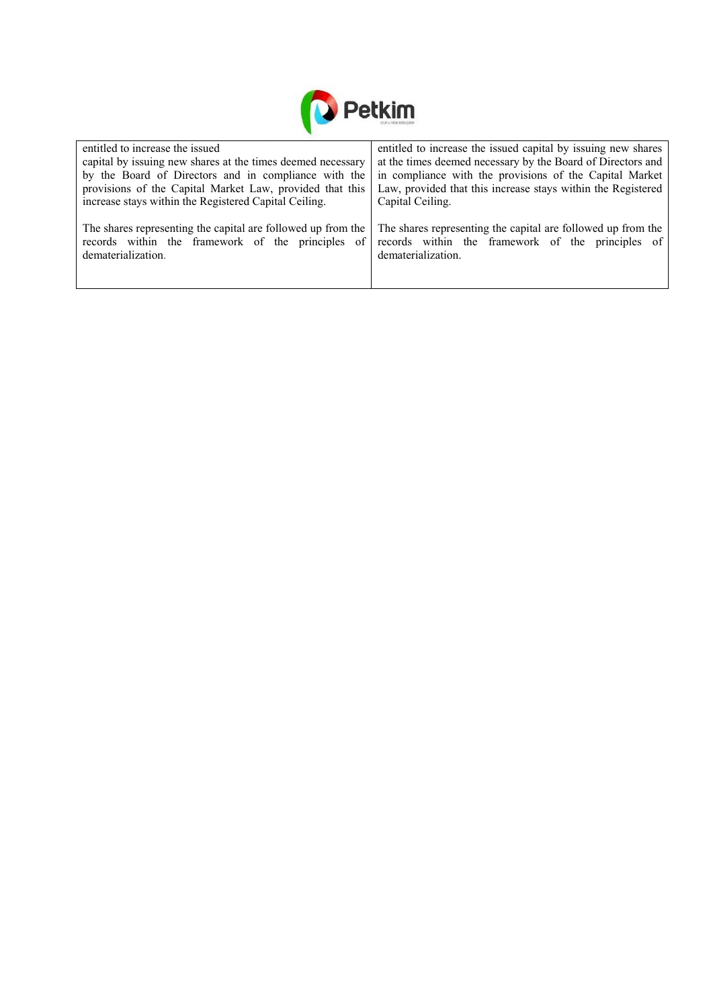

| entitled to increase the issued                              | entitled to increase the issued capital by issuing new shares |
|--------------------------------------------------------------|---------------------------------------------------------------|
| capital by issuing new shares at the times deemed necessary  | at the times deemed necessary by the Board of Directors and   |
| by the Board of Directors and in compliance with the         | in compliance with the provisions of the Capital Market       |
| provisions of the Capital Market Law, provided that this     | Law, provided that this increase stays within the Registered  |
| increase stays within the Registered Capital Ceiling.        | Capital Ceiling.                                              |
|                                                              |                                                               |
| The shares representing the capital are followed up from the | The shares representing the capital are followed up from the  |
| records within the framework of the principles of            | records within the framework of the principles of             |
| dematerialization.                                           | dematerialization.                                            |
|                                                              |                                                               |
|                                                              |                                                               |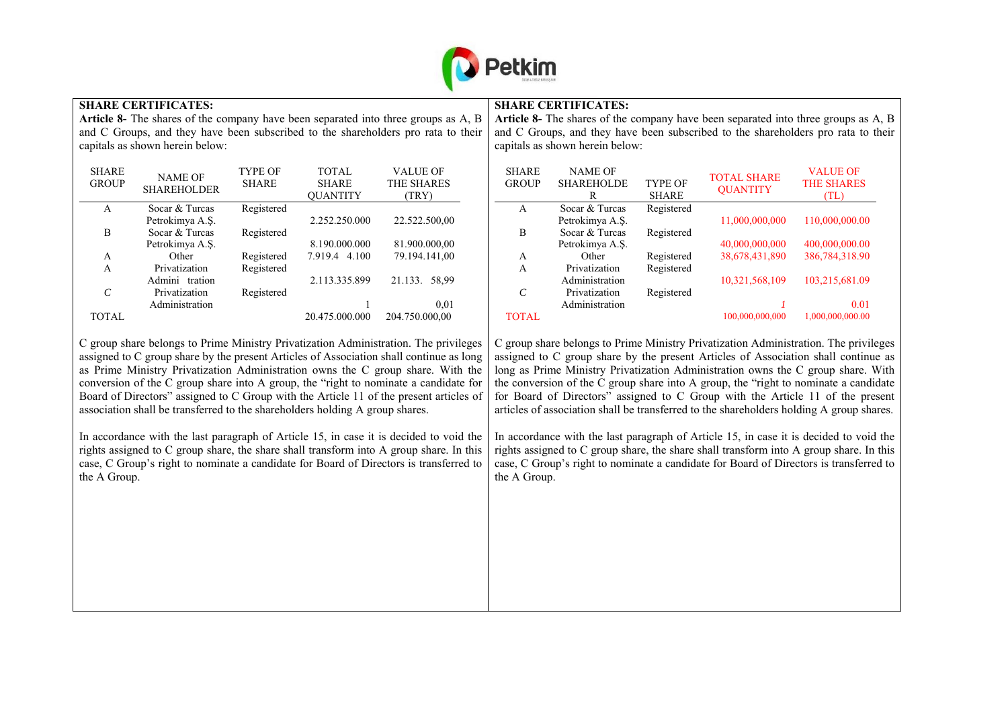

#### **SHARE CERTIFICATES:**

**Article 8-** The shares of the company have been separated into three groups as A, B and C Groups, and they have been subscribed to the shareholders pro rata to their capitals as shown herein below:

| <b>SHARE</b><br><b>GROUP</b> | <b>NAME OF</b><br><b>SHAREHOLDER</b> | <b>TYPE OF</b><br><b>SHARE</b> | <b>TOTAL</b><br><b>SHARE</b><br><b>OUANTITY</b> | <b>VALUE OF</b><br><b>THE SHARES</b><br>(TRY) |
|------------------------------|--------------------------------------|--------------------------------|-------------------------------------------------|-----------------------------------------------|
| A                            | Socar & Turcas                       | Registered                     |                                                 |                                               |
|                              | Petrokimya A.Ş.                      |                                | 2.252.250.000                                   | 22.522.500,00                                 |
| В                            | Socar & Turcas                       | Registered                     |                                                 |                                               |
|                              | Petrokimya A.Ş.                      |                                | 8.190.000.000                                   | 81.900.000,00                                 |
| A                            | Other                                | Registered                     | 7.919.4 4.100                                   | 79.194.141,00                                 |
| A                            | Privatization                        | Registered                     |                                                 |                                               |
|                              | Admini tration                       |                                | 2.113.335.899                                   | 21.133.<br>58,99                              |
| $\mathcal{C}$                | Privatization                        | Registered                     |                                                 |                                               |
|                              | Administration                       |                                |                                                 | 0.01                                          |
| TOTAL                        |                                      |                                | 20.475.000.000                                  | 204.750.000,00                                |

C group share belongs to Prime Ministry Privatization Administration. The privileges assigned to C group share by the present Articles of Association shall continue as long as Prime Ministry Privatization Administration owns the C group share. With the conversion of the C group share into A group, the "right to nominate a candidate for Board of Directors" assigned to C Group with the Article 11 of the present articles of association shall be transferred to the shareholders holding A group shares.

In accordance with the last paragraph of Article 15, in case it is decided to void the rights assigned to C group share, the share shall transform into A group share. In this case, C Group's right to nominate a candidate for Board of Directors is transferred to the A Group.

### **SHARE CERTIFICATES:**

**Article 8-** The shares of the company have been separated into three groups as A, B and C Groups, and they have been subscribed to the shareholders pro rata to their capitals as shown herein below:

| <b>SHARE</b><br><b>GROUP</b> | <b>NAME OF</b><br><b>SHAREHOLDE</b><br>R | <b>TYPE OF</b><br><b>SHARE</b> | <b>TOTAL SHARE</b><br><b>OUANTITY</b> | <b>VALUE OF</b><br><b>THE SHARES</b><br>(TL) |
|------------------------------|------------------------------------------|--------------------------------|---------------------------------------|----------------------------------------------|
| A                            | Socar & Turcas                           | Registered                     |                                       |                                              |
|                              | Petrokimya A.Ş.                          |                                | 11,000,000,000                        | 110,000,000.00                               |
| B                            | Socar & Turcas                           | Registered                     |                                       |                                              |
|                              | Petrokimya A.S.                          |                                | 40,000,000,000                        | 400,000,000.00                               |
| A                            | Other                                    | Registered                     | 38,678,431,890                        | 386,784,318.90                               |
| A                            | Privatization                            | Registered                     |                                       |                                              |
|                              | Administration                           |                                | 10,321,568,109                        | 103,215,681.09                               |
| $\mathcal{C}$                | Privatization                            | Registered                     |                                       |                                              |
|                              | Administration                           |                                |                                       | 0.01                                         |
| <b>TOTAL</b>                 |                                          |                                | 100.000.000.000                       | 1.000.000.000.00                             |

C group share belongs to Prime Ministry Privatization Administration. The privileges assigned to C group share by the present Articles of Association shall continue as long as Prime Ministry Privatization Administration owns the C group share. With the conversion of the C group share into A group, the "right to nominate a candidate for Board of Directors" assigned to C Group with the Article 11 of the present articles of association shall be transferred to the shareholders holding A group shares.

In accordance with the last paragraph of Article 15, in case it is decided to void the rights assigned to C group share, the share shall transform into A group share. In this case, C Group's right to nominate a candidate for Board of Directors is transferred to the A Group.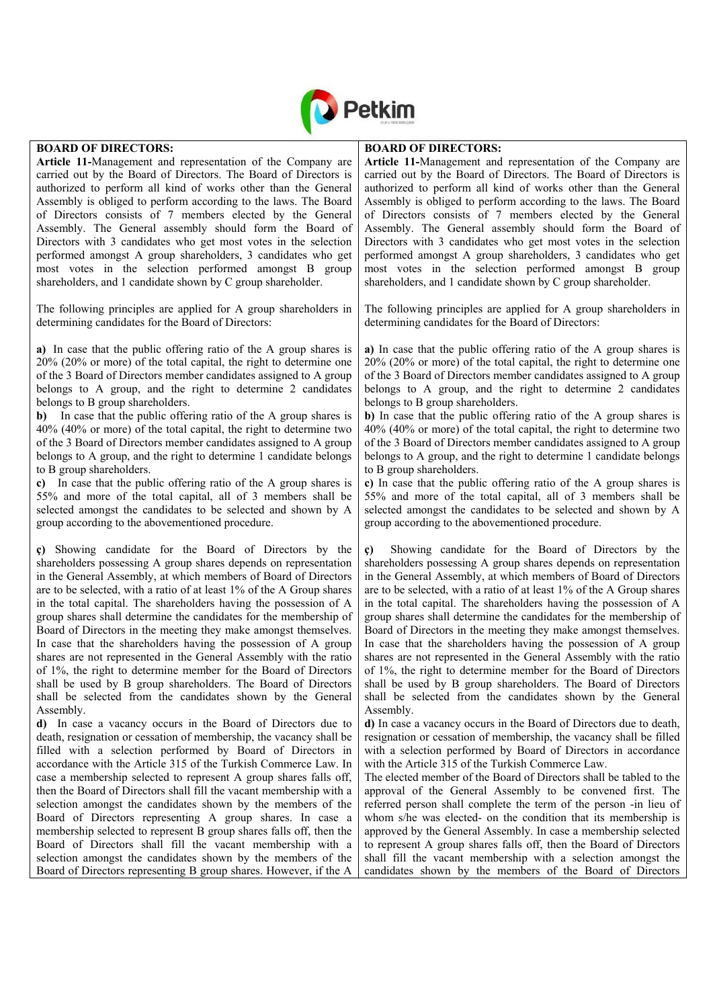

#### **BOARD OF DIRECTORS:**

**Article 11-**Management and representation of the Company are carried out by the Board of Directors. The Board of Directors is authorized to perform all kind of works other than the General Assembly is obliged to perform according to the laws. The Board of Directors consists of 7 members elected by the General Assembly. The General assembly should form the Board of Directors with 3 candidates who get most votes in the selection performed amongst A group shareholders, 3 candidates who get most votes in the selection performed amongst B group shareholders, and 1 candidate shown by C group shareholder.

The following principles are applied for A group shareholders in determining candidates for the Board of Directors:

**a)** In case that the public offering ratio of the A group shares is 20% (20% or more) of the total capital, the right to determine one of the 3 Board of Directors member candidates assigned to A group belongs to A group, and the right to determine 2 candidates belongs to B group shareholders.

**b)** In case that the public offering ratio of the A group shares is 40% (40% or more) of the total capital, the right to determine two of the 3 Board of Directors member candidates assigned to A group belongs to A group, and the right to determine 1 candidate belongs to B group shareholders.

**c)** In case that the public offering ratio of the A group shares is 55% and more of the total capital, all of 3 members shall be selected amongst the candidates to be selected and shown by A group according to the abovementioned procedure.

**ç)** Showing candidate for the Board of Directors by the shareholders possessing A group shares depends on representation in the General Assembly, at which members of Board of Directors are to be selected, with a ratio of at least 1% of the A Group shares in the total capital. The shareholders having the possession of A group shares shall determine the candidates for the membership of Board of Directors in the meeting they make amongst themselves. In case that the shareholders having the possession of A group shares are not represented in the General Assembly with the ratio of 1%, the right to determine member for the Board of Directors shall be used by B group shareholders. The Board of Directors shall be selected from the candidates shown by the General Assembly.

**d)** In case a vacancy occurs in the Board of Directors due to death, resignation or cessation of membership, the vacancy shall be filled with a selection performed by Board of Directors in accordance with the Article 315 of the Turkish Commerce Law. In case a membership selected to represent A group shares falls off, then the Board of Directors shall fill the vacant membership with a selection amongst the candidates shown by the members of the Board of Directors representing A group shares. In case a membership selected to represent B group shares falls off, then the Board of Directors shall fill the vacant membership with a selection amongst the candidates shown by the members of the Board of Directors representing B group shares. However, if the A

#### **BOARD OF DIRECTORS:**

**Article 11-**Management and representation of the Company are carried out by the Board of Directors. The Board of Directors is authorized to perform all kind of works other than the General Assembly is obliged to perform according to the laws. The Board of Directors consists of 7 members elected by the General Assembly. The General assembly should form the Board of Directors with 3 candidates who get most votes in the selection performed amongst A group shareholders, 3 candidates who get most votes in the selection performed amongst B group shareholders, and 1 candidate shown by C group shareholder.

The following principles are applied for A group shareholders in determining candidates for the Board of Directors:

**a)** In case that the public offering ratio of the A group shares is 20% (20% or more) of the total capital, the right to determine one of the 3 Board of Directors member candidates assigned to A group belongs to A group, and the right to determine 2 candidates belongs to B group shareholders.

**b)** In case that the public offering ratio of the A group shares is 40% (40% or more) of the total capital, the right to determine two of the 3 Board of Directors member candidates assigned to A group belongs to A group, and the right to determine 1 candidate belongs to B group shareholders.

**c)** In case that the public offering ratio of the A group shares is 55% and more of the total capital, all of 3 members shall be selected amongst the candidates to be selected and shown by A group according to the abovementioned procedure.

**ç)** Showing candidate for the Board of Directors by the shareholders possessing A group shares depends on representation in the General Assembly, at which members of Board of Directors are to be selected, with a ratio of at least 1% of the A Group shares in the total capital. The shareholders having the possession of A group shares shall determine the candidates for the membership of Board of Directors in the meeting they make amongst themselves. In case that the shareholders having the possession of A group shares are not represented in the General Assembly with the ratio of 1%, the right to determine member for the Board of Directors shall be used by B group shareholders. The Board of Directors shall be selected from the candidates shown by the General Assembly.

**d)** In case a vacancy occurs in the Board of Directors due to death, resignation or cessation of membership, the vacancy shall be filled with a selection performed by Board of Directors in accordance with the Article 315 of the Turkish Commerce Law.

The elected member of the Board of Directors shall be tabled to the approval of the General Assembly to be convened first. The referred person shall complete the term of the person -in lieu of whom s/he was elected- on the condition that its membership is approved by the General Assembly. In case a membership selected to represent A group shares falls off, then the Board of Directors shall fill the vacant membership with a selection amongst the candidates shown by the members of the Board of Directors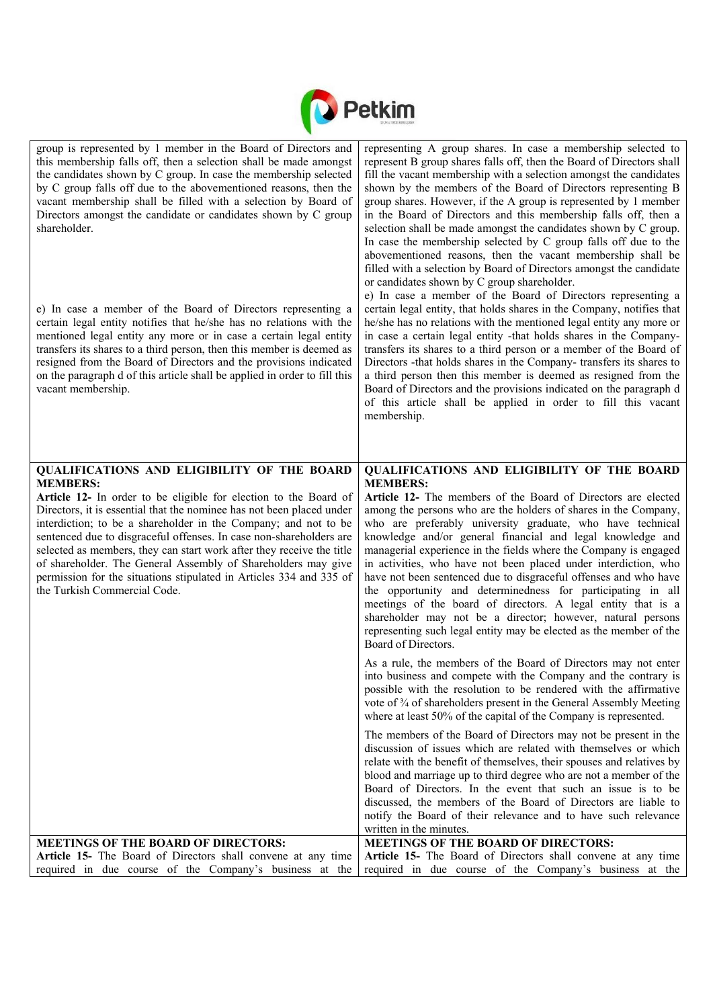

| group is represented by 1 member in the Board of Directors and<br>this membership falls off, then a selection shall be made amongst<br>the candidates shown by C group. In case the membership selected<br>by C group falls off due to the abovementioned reasons, then the<br>vacant membership shall be filled with a selection by Board of<br>Directors amongst the candidate or candidates shown by C group<br>shareholder.<br>e) In case a member of the Board of Directors representing a<br>certain legal entity notifies that he/she has no relations with the<br>mentioned legal entity any more or in case a certain legal entity<br>transfers its shares to a third person, then this member is deemed as<br>resigned from the Board of Directors and the provisions indicated<br>on the paragraph d of this article shall be applied in order to fill this<br>vacant membership. | representing A group shares. In case a membership selected to<br>represent B group shares falls off, then the Board of Directors shall<br>fill the vacant membership with a selection amongst the candidates<br>shown by the members of the Board of Directors representing B<br>group shares. However, if the A group is represented by 1 member<br>in the Board of Directors and this membership falls off, then a<br>selection shall be made amongst the candidates shown by C group.<br>In case the membership selected by C group falls off due to the<br>abovementioned reasons, then the vacant membership shall be<br>filled with a selection by Board of Directors amongst the candidate<br>or candidates shown by C group shareholder.<br>e) In case a member of the Board of Directors representing a<br>certain legal entity, that holds shares in the Company, notifies that<br>he/she has no relations with the mentioned legal entity any more or<br>in case a certain legal entity -that holds shares in the Company-<br>transfers its shares to a third person or a member of the Board of<br>Directors -that holds shares in the Company- transfers its shares to<br>a third person then this member is deemed as resigned from the<br>Board of Directors and the provisions indicated on the paragraph d<br>of this article shall be applied in order to fill this vacant<br>membership. |
|----------------------------------------------------------------------------------------------------------------------------------------------------------------------------------------------------------------------------------------------------------------------------------------------------------------------------------------------------------------------------------------------------------------------------------------------------------------------------------------------------------------------------------------------------------------------------------------------------------------------------------------------------------------------------------------------------------------------------------------------------------------------------------------------------------------------------------------------------------------------------------------------|-------------------------------------------------------------------------------------------------------------------------------------------------------------------------------------------------------------------------------------------------------------------------------------------------------------------------------------------------------------------------------------------------------------------------------------------------------------------------------------------------------------------------------------------------------------------------------------------------------------------------------------------------------------------------------------------------------------------------------------------------------------------------------------------------------------------------------------------------------------------------------------------------------------------------------------------------------------------------------------------------------------------------------------------------------------------------------------------------------------------------------------------------------------------------------------------------------------------------------------------------------------------------------------------------------------------------------------------------------------------------------------------------------------|
| QUALIFICATIONS AND ELIGIBILITY OF THE BOARD<br><b>MEMBERS:</b>                                                                                                                                                                                                                                                                                                                                                                                                                                                                                                                                                                                                                                                                                                                                                                                                                               | QUALIFICATIONS AND ELIGIBILITY OF THE BOARD<br><b>MEMBERS:</b>                                                                                                                                                                                                                                                                                                                                                                                                                                                                                                                                                                                                                                                                                                                                                                                                                                                                                                                                                                                                                                                                                                                                                                                                                                                                                                                                              |
| Article 12- In order to be eligible for election to the Board of<br>Directors, it is essential that the nominee has not been placed under<br>interdiction; to be a shareholder in the Company; and not to be<br>sentenced due to disgraceful offenses. In case non-shareholders are<br>selected as members, they can start work after they receive the title<br>of shareholder. The General Assembly of Shareholders may give<br>permission for the situations stipulated in Articles 334 and 335 of<br>the Turkish Commercial Code.                                                                                                                                                                                                                                                                                                                                                         | Article 12- The members of the Board of Directors are elected<br>among the persons who are the holders of shares in the Company,<br>who are preferably university graduate, who have technical<br>knowledge and/or general financial and legal knowledge and<br>managerial experience in the fields where the Company is engaged<br>in activities, who have not been placed under interdiction, who<br>have not been sentenced due to disgraceful offenses and who have<br>the opportunity and determinedness for participating in all<br>meetings of the board of directors. A legal entity that is a<br>shareholder may not be a director; however, natural persons<br>representing such legal entity may be elected as the member of the<br>Board of Directors.                                                                                                                                                                                                                                                                                                                                                                                                                                                                                                                                                                                                                                          |
|                                                                                                                                                                                                                                                                                                                                                                                                                                                                                                                                                                                                                                                                                                                                                                                                                                                                                              | As a rule, the members of the Board of Directors may not enter<br>into business and compete with the Company and the contrary is<br>possible with the resolution to be rendered with the affirmative<br>vote of 3/4 of shareholders present in the General Assembly Meeting<br>where at least 50% of the capital of the Company is represented.                                                                                                                                                                                                                                                                                                                                                                                                                                                                                                                                                                                                                                                                                                                                                                                                                                                                                                                                                                                                                                                             |
|                                                                                                                                                                                                                                                                                                                                                                                                                                                                                                                                                                                                                                                                                                                                                                                                                                                                                              | The members of the Board of Directors may not be present in the<br>discussion of issues which are related with themselves or which<br>relate with the benefit of themselves, their spouses and relatives by<br>blood and marriage up to third degree who are not a member of the<br>Board of Directors. In the event that such an issue is to be<br>discussed, the members of the Board of Directors are liable to<br>notify the Board of their relevance and to have such relevance<br>written in the minutes.                                                                                                                                                                                                                                                                                                                                                                                                                                                                                                                                                                                                                                                                                                                                                                                                                                                                                             |
| <b>MEETINGS OF THE BOARD OF DIRECTORS:</b>                                                                                                                                                                                                                                                                                                                                                                                                                                                                                                                                                                                                                                                                                                                                                                                                                                                   | <b>MEETINGS OF THE BOARD OF DIRECTORS:</b>                                                                                                                                                                                                                                                                                                                                                                                                                                                                                                                                                                                                                                                                                                                                                                                                                                                                                                                                                                                                                                                                                                                                                                                                                                                                                                                                                                  |
| Article 15- The Board of Directors shall convene at any time<br>required in due course of the Company's business at the                                                                                                                                                                                                                                                                                                                                                                                                                                                                                                                                                                                                                                                                                                                                                                      | Article 15- The Board of Directors shall convene at any time<br>required in due course of the Company's business at the                                                                                                                                                                                                                                                                                                                                                                                                                                                                                                                                                                                                                                                                                                                                                                                                                                                                                                                                                                                                                                                                                                                                                                                                                                                                                     |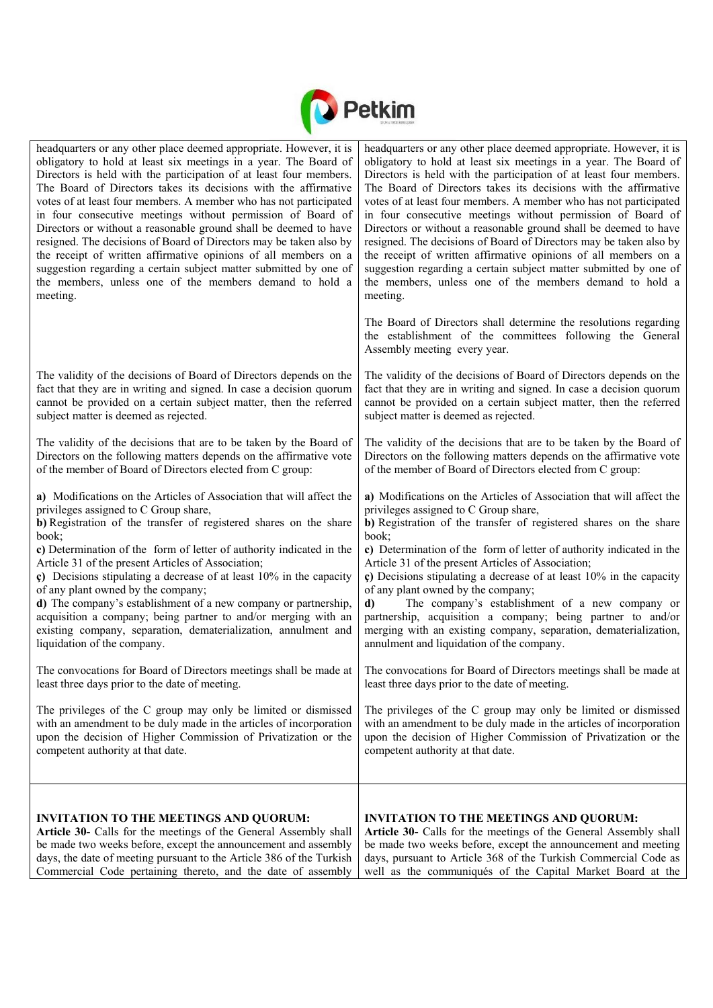

| headquarters or any other place deemed appropriate. However, it is                                                                                                                                                                                                                                                                                                                                                                                                                                                                                                                                                                                                              | headquarters or any other place deemed appropriate. However, it is                                                                                                                                                                                                                                                                                                                                                                                                                                                                                                                                                                                                                        |
|---------------------------------------------------------------------------------------------------------------------------------------------------------------------------------------------------------------------------------------------------------------------------------------------------------------------------------------------------------------------------------------------------------------------------------------------------------------------------------------------------------------------------------------------------------------------------------------------------------------------------------------------------------------------------------|-------------------------------------------------------------------------------------------------------------------------------------------------------------------------------------------------------------------------------------------------------------------------------------------------------------------------------------------------------------------------------------------------------------------------------------------------------------------------------------------------------------------------------------------------------------------------------------------------------------------------------------------------------------------------------------------|
| obligatory to hold at least six meetings in a year. The Board of                                                                                                                                                                                                                                                                                                                                                                                                                                                                                                                                                                                                                | obligatory to hold at least six meetings in a year. The Board of                                                                                                                                                                                                                                                                                                                                                                                                                                                                                                                                                                                                                          |
| Directors is held with the participation of at least four members.                                                                                                                                                                                                                                                                                                                                                                                                                                                                                                                                                                                                              | Directors is held with the participation of at least four members.                                                                                                                                                                                                                                                                                                                                                                                                                                                                                                                                                                                                                        |
| The Board of Directors takes its decisions with the affirmative                                                                                                                                                                                                                                                                                                                                                                                                                                                                                                                                                                                                                 | The Board of Directors takes its decisions with the affirmative                                                                                                                                                                                                                                                                                                                                                                                                                                                                                                                                                                                                                           |
| votes of at least four members. A member who has not participated                                                                                                                                                                                                                                                                                                                                                                                                                                                                                                                                                                                                               | votes of at least four members. A member who has not participated                                                                                                                                                                                                                                                                                                                                                                                                                                                                                                                                                                                                                         |
| in four consecutive meetings without permission of Board of                                                                                                                                                                                                                                                                                                                                                                                                                                                                                                                                                                                                                     | in four consecutive meetings without permission of Board of                                                                                                                                                                                                                                                                                                                                                                                                                                                                                                                                                                                                                               |
| Directors or without a reasonable ground shall be deemed to have                                                                                                                                                                                                                                                                                                                                                                                                                                                                                                                                                                                                                | Directors or without a reasonable ground shall be deemed to have                                                                                                                                                                                                                                                                                                                                                                                                                                                                                                                                                                                                                          |
| resigned. The decisions of Board of Directors may be taken also by                                                                                                                                                                                                                                                                                                                                                                                                                                                                                                                                                                                                              | resigned. The decisions of Board of Directors may be taken also by                                                                                                                                                                                                                                                                                                                                                                                                                                                                                                                                                                                                                        |
| the receipt of written affirmative opinions of all members on a                                                                                                                                                                                                                                                                                                                                                                                                                                                                                                                                                                                                                 | the receipt of written affirmative opinions of all members on a                                                                                                                                                                                                                                                                                                                                                                                                                                                                                                                                                                                                                           |
| suggestion regarding a certain subject matter submitted by one of                                                                                                                                                                                                                                                                                                                                                                                                                                                                                                                                                                                                               | suggestion regarding a certain subject matter submitted by one of                                                                                                                                                                                                                                                                                                                                                                                                                                                                                                                                                                                                                         |
| the members, unless one of the members demand to hold a                                                                                                                                                                                                                                                                                                                                                                                                                                                                                                                                                                                                                         | the members, unless one of the members demand to hold a                                                                                                                                                                                                                                                                                                                                                                                                                                                                                                                                                                                                                                   |
| meeting.                                                                                                                                                                                                                                                                                                                                                                                                                                                                                                                                                                                                                                                                        | meeting.                                                                                                                                                                                                                                                                                                                                                                                                                                                                                                                                                                                                                                                                                  |
|                                                                                                                                                                                                                                                                                                                                                                                                                                                                                                                                                                                                                                                                                 | The Board of Directors shall determine the resolutions regarding<br>the establishment of the committees following the General<br>Assembly meeting every year.                                                                                                                                                                                                                                                                                                                                                                                                                                                                                                                             |
| The validity of the decisions of Board of Directors depends on the                                                                                                                                                                                                                                                                                                                                                                                                                                                                                                                                                                                                              | The validity of the decisions of Board of Directors depends on the                                                                                                                                                                                                                                                                                                                                                                                                                                                                                                                                                                                                                        |
| fact that they are in writing and signed. In case a decision quorum                                                                                                                                                                                                                                                                                                                                                                                                                                                                                                                                                                                                             | fact that they are in writing and signed. In case a decision quorum                                                                                                                                                                                                                                                                                                                                                                                                                                                                                                                                                                                                                       |
| cannot be provided on a certain subject matter, then the referred                                                                                                                                                                                                                                                                                                                                                                                                                                                                                                                                                                                                               | cannot be provided on a certain subject matter, then the referred                                                                                                                                                                                                                                                                                                                                                                                                                                                                                                                                                                                                                         |
| subject matter is deemed as rejected.                                                                                                                                                                                                                                                                                                                                                                                                                                                                                                                                                                                                                                           | subject matter is deemed as rejected.                                                                                                                                                                                                                                                                                                                                                                                                                                                                                                                                                                                                                                                     |
| The validity of the decisions that are to be taken by the Board of                                                                                                                                                                                                                                                                                                                                                                                                                                                                                                                                                                                                              | The validity of the decisions that are to be taken by the Board of                                                                                                                                                                                                                                                                                                                                                                                                                                                                                                                                                                                                                        |
| Directors on the following matters depends on the affirmative vote                                                                                                                                                                                                                                                                                                                                                                                                                                                                                                                                                                                                              | Directors on the following matters depends on the affirmative vote                                                                                                                                                                                                                                                                                                                                                                                                                                                                                                                                                                                                                        |
| of the member of Board of Directors elected from C group:                                                                                                                                                                                                                                                                                                                                                                                                                                                                                                                                                                                                                       | of the member of Board of Directors elected from C group:                                                                                                                                                                                                                                                                                                                                                                                                                                                                                                                                                                                                                                 |
| a) Modifications on the Articles of Association that will affect the<br>privileges assigned to C Group share,<br>b) Registration of the transfer of registered shares on the share<br>book;<br>c) Determination of the form of letter of authority indicated in the<br>Article 31 of the present Articles of Association;<br>c) Decisions stipulating a decrease of at least $10\%$ in the capacity<br>of any plant owned by the company;<br>d) The company's establishment of a new company or partnership,<br>acquisition a company; being partner to and/or merging with an<br>existing company, separation, dematerialization, annulment and<br>liquidation of the company. | a) Modifications on the Articles of Association that will affect the<br>privileges assigned to C Group share,<br>b) Registration of the transfer of registered shares on the share<br>book;<br>c) Determination of the form of letter of authority indicated in the<br>Article 31 of the present Articles of Association;<br>$\epsilon$ ) Decisions stipulating a decrease of at least 10% in the capacity<br>of any plant owned by the company;<br>The company's establishment of a new company or<br>d)<br>partnership, acquisition a company; being partner to and/or<br>merging with an existing company, separation, dematerialization,<br>annulment and liquidation of the company. |
| The convocations for Board of Directors meetings shall be made at                                                                                                                                                                                                                                                                                                                                                                                                                                                                                                                                                                                                               | The convocations for Board of Directors meetings shall be made at                                                                                                                                                                                                                                                                                                                                                                                                                                                                                                                                                                                                                         |
| least three days prior to the date of meeting.                                                                                                                                                                                                                                                                                                                                                                                                                                                                                                                                                                                                                                  | least three days prior to the date of meeting.                                                                                                                                                                                                                                                                                                                                                                                                                                                                                                                                                                                                                                            |
| The privileges of the C group may only be limited or dismissed                                                                                                                                                                                                                                                                                                                                                                                                                                                                                                                                                                                                                  | The privileges of the C group may only be limited or dismissed                                                                                                                                                                                                                                                                                                                                                                                                                                                                                                                                                                                                                            |
| with an amendment to be duly made in the articles of incorporation                                                                                                                                                                                                                                                                                                                                                                                                                                                                                                                                                                                                              | with an amendment to be duly made in the articles of incorporation                                                                                                                                                                                                                                                                                                                                                                                                                                                                                                                                                                                                                        |
| upon the decision of Higher Commission of Privatization or the                                                                                                                                                                                                                                                                                                                                                                                                                                                                                                                                                                                                                  | upon the decision of Higher Commission of Privatization or the                                                                                                                                                                                                                                                                                                                                                                                                                                                                                                                                                                                                                            |
| competent authority at that date.                                                                                                                                                                                                                                                                                                                                                                                                                                                                                                                                                                                                                                               | competent authority at that date.                                                                                                                                                                                                                                                                                                                                                                                                                                                                                                                                                                                                                                                         |
| <b>INVITATION TO THE MEETINGS AND QUORUM:</b>                                                                                                                                                                                                                                                                                                                                                                                                                                                                                                                                                                                                                                   | <b>INVITATION TO THE MEETINGS AND QUORUM:</b>                                                                                                                                                                                                                                                                                                                                                                                                                                                                                                                                                                                                                                             |
| Article 30- Calls for the meetings of the General Assembly shall                                                                                                                                                                                                                                                                                                                                                                                                                                                                                                                                                                                                                | Article 30- Calls for the meetings of the General Assembly shall                                                                                                                                                                                                                                                                                                                                                                                                                                                                                                                                                                                                                          |
| be made two weeks before, except the announcement and assembly                                                                                                                                                                                                                                                                                                                                                                                                                                                                                                                                                                                                                  | be made two weeks before, except the announcement and meeting                                                                                                                                                                                                                                                                                                                                                                                                                                                                                                                                                                                                                             |
| days, the date of meeting pursuant to the Article 386 of the Turkish                                                                                                                                                                                                                                                                                                                                                                                                                                                                                                                                                                                                            | days, pursuant to Article 368 of the Turkish Commercial Code as                                                                                                                                                                                                                                                                                                                                                                                                                                                                                                                                                                                                                           |
| Commercial Code pertaining thereto, and the date of assembly                                                                                                                                                                                                                                                                                                                                                                                                                                                                                                                                                                                                                    | well as the communiqués of the Capital Market Board at the                                                                                                                                                                                                                                                                                                                                                                                                                                                                                                                                                                                                                                |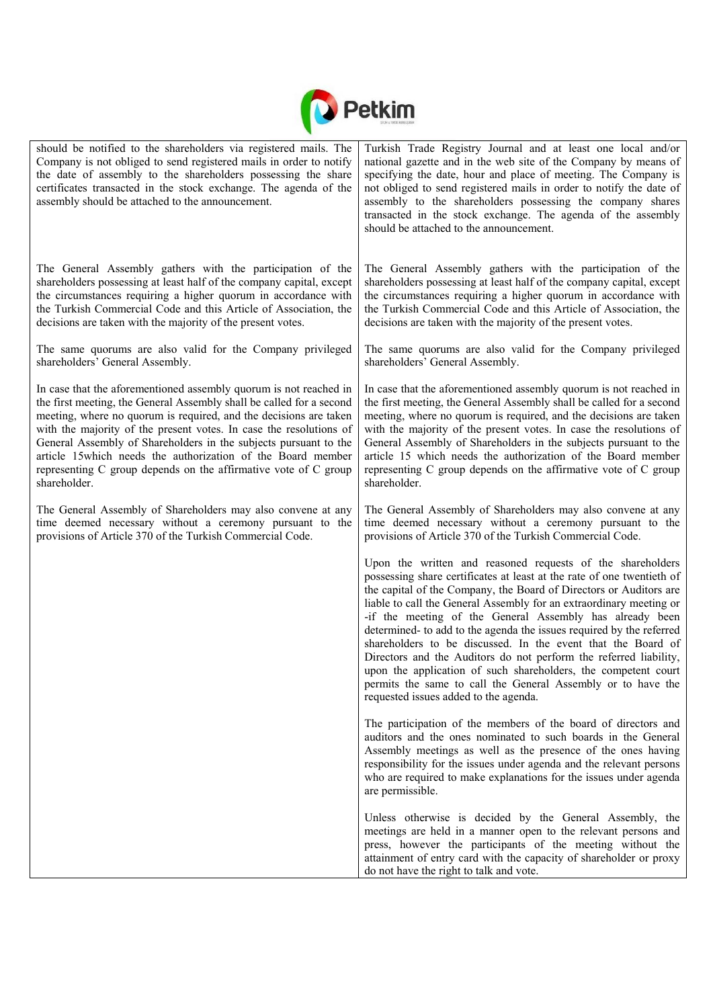

| should be notified to the shareholders via registered mails. The<br>Company is not obliged to send registered mails in order to notify<br>the date of assembly to the shareholders possessing the share<br>certificates transacted in the stock exchange. The agenda of the<br>assembly should be attached to the announcement. | Turkish Trade Registry Journal and at least one local and/or<br>national gazette and in the web site of the Company by means of<br>specifying the date, hour and place of meeting. The Company is<br>not obliged to send registered mails in order to notify the date of<br>assembly to the shareholders possessing the company shares<br>transacted in the stock exchange. The agenda of the assembly<br>should be attached to the announcement.                                                                                                                                                                                                                                                                                     |
|---------------------------------------------------------------------------------------------------------------------------------------------------------------------------------------------------------------------------------------------------------------------------------------------------------------------------------|---------------------------------------------------------------------------------------------------------------------------------------------------------------------------------------------------------------------------------------------------------------------------------------------------------------------------------------------------------------------------------------------------------------------------------------------------------------------------------------------------------------------------------------------------------------------------------------------------------------------------------------------------------------------------------------------------------------------------------------|
| The General Assembly gathers with the participation of the                                                                                                                                                                                                                                                                      | The General Assembly gathers with the participation of the                                                                                                                                                                                                                                                                                                                                                                                                                                                                                                                                                                                                                                                                            |
| shareholders possessing at least half of the company capital, except                                                                                                                                                                                                                                                            | shareholders possessing at least half of the company capital, except                                                                                                                                                                                                                                                                                                                                                                                                                                                                                                                                                                                                                                                                  |
| the circumstances requiring a higher quorum in accordance with                                                                                                                                                                                                                                                                  | the circumstances requiring a higher quorum in accordance with                                                                                                                                                                                                                                                                                                                                                                                                                                                                                                                                                                                                                                                                        |
| the Turkish Commercial Code and this Article of Association, the                                                                                                                                                                                                                                                                | the Turkish Commercial Code and this Article of Association, the                                                                                                                                                                                                                                                                                                                                                                                                                                                                                                                                                                                                                                                                      |
| decisions are taken with the majority of the present votes.                                                                                                                                                                                                                                                                     | decisions are taken with the majority of the present votes.                                                                                                                                                                                                                                                                                                                                                                                                                                                                                                                                                                                                                                                                           |
| The same quorums are also valid for the Company privileged                                                                                                                                                                                                                                                                      | The same quorums are also valid for the Company privileged                                                                                                                                                                                                                                                                                                                                                                                                                                                                                                                                                                                                                                                                            |
| shareholders' General Assembly.                                                                                                                                                                                                                                                                                                 | shareholders' General Assembly.                                                                                                                                                                                                                                                                                                                                                                                                                                                                                                                                                                                                                                                                                                       |
| In case that the aforementioned assembly quorum is not reached in                                                                                                                                                                                                                                                               | In case that the aforementioned assembly quorum is not reached in                                                                                                                                                                                                                                                                                                                                                                                                                                                                                                                                                                                                                                                                     |
| the first meeting, the General Assembly shall be called for a second                                                                                                                                                                                                                                                            | the first meeting, the General Assembly shall be called for a second                                                                                                                                                                                                                                                                                                                                                                                                                                                                                                                                                                                                                                                                  |
| meeting, where no quorum is required, and the decisions are taken                                                                                                                                                                                                                                                               | meeting, where no quorum is required, and the decisions are taken                                                                                                                                                                                                                                                                                                                                                                                                                                                                                                                                                                                                                                                                     |
| with the majority of the present votes. In case the resolutions of                                                                                                                                                                                                                                                              | with the majority of the present votes. In case the resolutions of                                                                                                                                                                                                                                                                                                                                                                                                                                                                                                                                                                                                                                                                    |
| General Assembly of Shareholders in the subjects pursuant to the                                                                                                                                                                                                                                                                | General Assembly of Shareholders in the subjects pursuant to the                                                                                                                                                                                                                                                                                                                                                                                                                                                                                                                                                                                                                                                                      |
| article 15 which needs the authorization of the Board member                                                                                                                                                                                                                                                                    | article 15 which needs the authorization of the Board member                                                                                                                                                                                                                                                                                                                                                                                                                                                                                                                                                                                                                                                                          |
| representing C group depends on the affirmative vote of C group                                                                                                                                                                                                                                                                 | representing C group depends on the affirmative vote of C group                                                                                                                                                                                                                                                                                                                                                                                                                                                                                                                                                                                                                                                                       |
| shareholder.                                                                                                                                                                                                                                                                                                                    | shareholder.                                                                                                                                                                                                                                                                                                                                                                                                                                                                                                                                                                                                                                                                                                                          |
| The General Assembly of Shareholders may also convene at any                                                                                                                                                                                                                                                                    | The General Assembly of Shareholders may also convene at any                                                                                                                                                                                                                                                                                                                                                                                                                                                                                                                                                                                                                                                                          |
| time deemed necessary without a ceremony pursuant to the                                                                                                                                                                                                                                                                        | time deemed necessary without a ceremony pursuant to the                                                                                                                                                                                                                                                                                                                                                                                                                                                                                                                                                                                                                                                                              |
| provisions of Article 370 of the Turkish Commercial Code.                                                                                                                                                                                                                                                                       | provisions of Article 370 of the Turkish Commercial Code.                                                                                                                                                                                                                                                                                                                                                                                                                                                                                                                                                                                                                                                                             |
|                                                                                                                                                                                                                                                                                                                                 | Upon the written and reasoned requests of the shareholders<br>possessing share certificates at least at the rate of one twentieth of<br>the capital of the Company, the Board of Directors or Auditors are<br>liable to call the General Assembly for an extraordinary meeting or<br>-if the meeting of the General Assembly has already been<br>determined- to add to the agenda the issues required by the referred<br>shareholders to be discussed. In the event that the Board of<br>Directors and the Auditors do not perform the referred liability,<br>upon the application of such shareholders, the competent court<br>permits the same to call the General Assembly or to have the<br>requested issues added to the agenda. |
|                                                                                                                                                                                                                                                                                                                                 | The participation of the members of the board of directors and<br>auditors and the ones nominated to such boards in the General<br>Assembly meetings as well as the presence of the ones having<br>responsibility for the issues under agenda and the relevant persons<br>who are required to make explanations for the issues under agenda<br>are permissible.                                                                                                                                                                                                                                                                                                                                                                       |
|                                                                                                                                                                                                                                                                                                                                 | Unless otherwise is decided by the General Assembly, the<br>meetings are held in a manner open to the relevant persons and<br>press, however the participants of the meeting without the<br>attainment of entry card with the capacity of shareholder or proxy<br>do not have the right to talk and vote.                                                                                                                                                                                                                                                                                                                                                                                                                             |